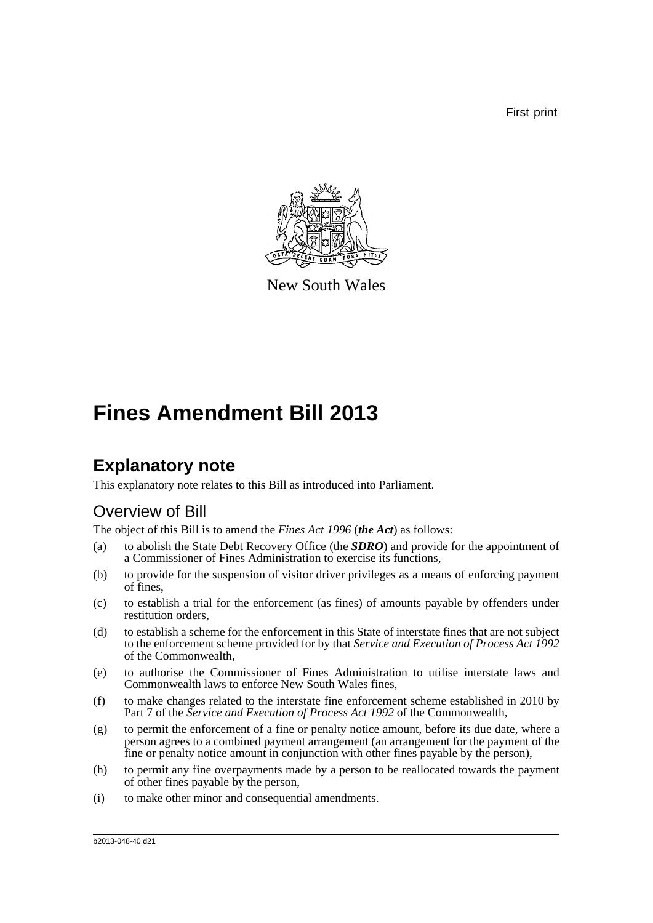First print



New South Wales

## **Fines Amendment Bill 2013**

## **Explanatory note**

This explanatory note relates to this Bill as introduced into Parliament.

### Overview of Bill

The object of this Bill is to amend the *Fines Act 1996* (*the Act*) as follows:

- (a) to abolish the State Debt Recovery Office (the *SDRO*) and provide for the appointment of a Commissioner of Fines Administration to exercise its functions,
- (b) to provide for the suspension of visitor driver privileges as a means of enforcing payment of fines,
- (c) to establish a trial for the enforcement (as fines) of amounts payable by offenders under restitution orders,
- (d) to establish a scheme for the enforcement in this State of interstate fines that are not subject to the enforcement scheme provided for by that *Service and Execution of Process Act 1992* of the Commonwealth,
- (e) to authorise the Commissioner of Fines Administration to utilise interstate laws and Commonwealth laws to enforce New South Wales fines,
- (f) to make changes related to the interstate fine enforcement scheme established in 2010 by Part 7 of the *Service and Execution of Process Act 1992* of the Commonwealth,
- (g) to permit the enforcement of a fine or penalty notice amount, before its due date, where a person agrees to a combined payment arrangement (an arrangement for the payment of the fine or penalty notice amount in conjunction with other fines payable by the person),
- (h) to permit any fine overpayments made by a person to be reallocated towards the payment of other fines payable by the person,
- (i) to make other minor and consequential amendments.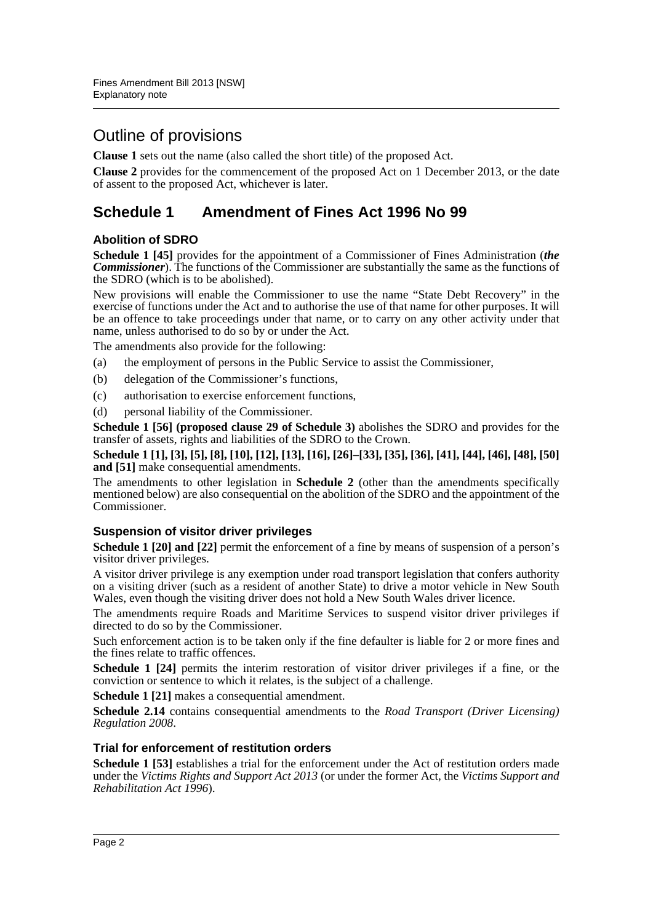### Outline of provisions

**Clause 1** sets out the name (also called the short title) of the proposed Act.

**Clause 2** provides for the commencement of the proposed Act on 1 December 2013, or the date of assent to the proposed Act, whichever is later.

### **Schedule 1 Amendment of Fines Act 1996 No 99**

### **Abolition of SDRO**

**Schedule 1 [45]** provides for the appointment of a Commissioner of Fines Administration (*the Commissioner*). The functions of the Commissioner are substantially the same as the functions of the SDRO (which is to be abolished).

New provisions will enable the Commissioner to use the name "State Debt Recovery" in the exercise of functions under the Act and to authorise the use of that name for other purposes. It will be an offence to take proceedings under that name, or to carry on any other activity under that name, unless authorised to do so by or under the Act.

The amendments also provide for the following:

- (a) the employment of persons in the Public Service to assist the Commissioner,
- (b) delegation of the Commissioner's functions,
- (c) authorisation to exercise enforcement functions,
- (d) personal liability of the Commissioner.

**Schedule 1 [56] (proposed clause 29 of Schedule 3)** abolishes the SDRO and provides for the transfer of assets, rights and liabilities of the SDRO to the Crown.

**Schedule 1 [1], [3], [5], [8], [10], [12], [13], [16], [26]–[33], [35], [36], [41], [44], [46], [48], [50] and [51]** make consequential amendments.

The amendments to other legislation in **Schedule 2** (other than the amendments specifically mentioned below) are also consequential on the abolition of the SDRO and the appointment of the Commissioner.

### **Suspension of visitor driver privileges**

**Schedule 1 [20] and [22]** permit the enforcement of a fine by means of suspension of a person's visitor driver privileges.

A visitor driver privilege is any exemption under road transport legislation that confers authority on a visiting driver (such as a resident of another State) to drive a motor vehicle in New South Wales, even though the visiting driver does not hold a New South Wales driver licence.

The amendments require Roads and Maritime Services to suspend visitor driver privileges if directed to do so by the Commissioner.

Such enforcement action is to be taken only if the fine defaulter is liable for 2 or more fines and the fines relate to traffic offences.

**Schedule 1 [24]** permits the interim restoration of visitor driver privileges if a fine, or the conviction or sentence to which it relates, is the subject of a challenge.

**Schedule 1 [21]** makes a consequential amendment.

**Schedule 2.14** contains consequential amendments to the *Road Transport (Driver Licensing) Regulation 2008*.

### **Trial for enforcement of restitution orders**

**Schedule 1 [53]** establishes a trial for the enforcement under the Act of restitution orders made under the *Victims Rights and Support Act 2013* (or under the former Act, the *Victims Support and Rehabilitation Act 1996*).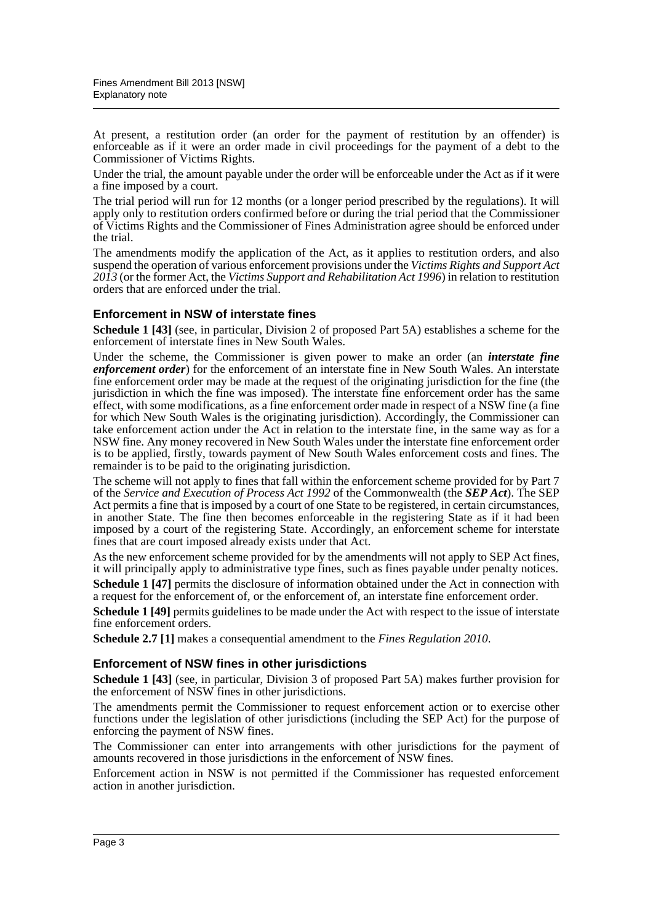At present, a restitution order (an order for the payment of restitution by an offender) is enforceable as if it were an order made in civil proceedings for the payment of a debt to the Commissioner of Victims Rights.

Under the trial, the amount payable under the order will be enforceable under the Act as if it were a fine imposed by a court.

The trial period will run for 12 months (or a longer period prescribed by the regulations). It will apply only to restitution orders confirmed before or during the trial period that the Commissioner of Victims Rights and the Commissioner of Fines Administration agree should be enforced under the trial.

The amendments modify the application of the Act, as it applies to restitution orders, and also suspend the operation of various enforcement provisions under the *Victims Rights and Support Act 2013* (or the former Act, the *Victims Support and Rehabilitation Act 1996*) in relation to restitution orders that are enforced under the trial.

### **Enforcement in NSW of interstate fines**

**Schedule 1 [43]** (see, in particular, Division 2 of proposed Part 5A) establishes a scheme for the enforcement of interstate fines in New South Wales.

Under the scheme, the Commissioner is given power to make an order (an *interstate fine enforcement order*) for the enforcement of an interstate fine in New South Wales. An interstate fine enforcement order may be made at the request of the originating jurisdiction for the fine (the jurisdiction in which the fine was imposed). The interstate fine enforcement order has the same effect, with some modifications, as a fine enforcement order made in respect of a NSW fine (a fine for which New South Wales is the originating jurisdiction). Accordingly, the Commissioner can take enforcement action under the Act in relation to the interstate fine, in the same way as for a NSW fine. Any money recovered in New South Wales under the interstate fine enforcement order is to be applied, firstly, towards payment of New South Wales enforcement costs and fines. The remainder is to be paid to the originating jurisdiction.

The scheme will not apply to fines that fall within the enforcement scheme provided for by Part 7 of the *Service and Execution of Process Act 1992* of the Commonwealth (the *SEP Act*). The SEP Act permits a fine that is imposed by a court of one State to be registered, in certain circumstances, in another State. The fine then becomes enforceable in the registering State as if it had been imposed by a court of the registering State. Accordingly, an enforcement scheme for interstate fines that are court imposed already exists under that Act.

As the new enforcement scheme provided for by the amendments will not apply to SEP Act fines, it will principally apply to administrative type fines, such as fines payable under penalty notices.

**Schedule 1 [47]** permits the disclosure of information obtained under the Act in connection with a request for the enforcement of, or the enforcement of, an interstate fine enforcement order.

**Schedule 1 [49]** permits guidelines to be made under the Act with respect to the issue of interstate fine enforcement orders.

**Schedule 2.7 [1]** makes a consequential amendment to the *Fines Regulation 2010*.

### **Enforcement of NSW fines in other jurisdictions**

**Schedule 1 [43]** (see, in particular, Division 3 of proposed Part 5A) makes further provision for the enforcement of NSW fines in other jurisdictions.

The amendments permit the Commissioner to request enforcement action or to exercise other functions under the legislation of other jurisdictions (including the SEP Act) for the purpose of enforcing the payment of NSW fines.

The Commissioner can enter into arrangements with other jurisdictions for the payment of amounts recovered in those jurisdictions in the enforcement of NSW fines.

Enforcement action in NSW is not permitted if the Commissioner has requested enforcement action in another jurisdiction.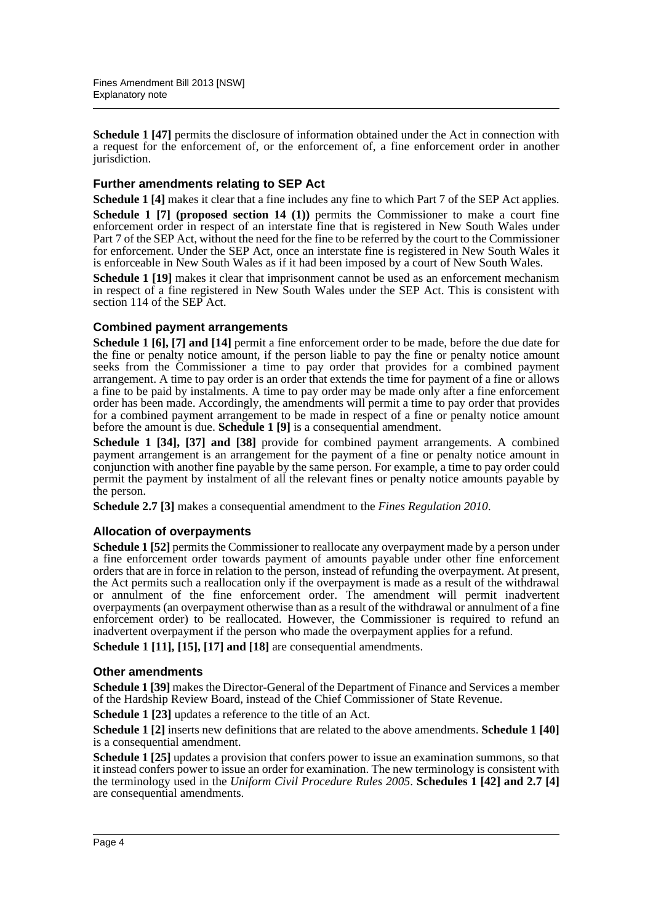**Schedule 1 [47]** permits the disclosure of information obtained under the Act in connection with a request for the enforcement of, or the enforcement of, a fine enforcement order in another jurisdiction.

### **Further amendments relating to SEP Act**

**Schedule 1 [4]** makes it clear that a fine includes any fine to which Part 7 of the SEP Act applies.

**Schedule 1 [7] (proposed section 14 (1))** permits the Commissioner to make a court fine enforcement order in respect of an interstate fine that is registered in New South Wales under Part 7 of the SEP Act, without the need for the fine to be referred by the court to the Commissioner for enforcement. Under the SEP Act, once an interstate fine is registered in New South Wales it is enforceable in New South Wales as if it had been imposed by a court of New South Wales.

**Schedule 1 [19]** makes it clear that imprisonment cannot be used as an enforcement mechanism in respect of a fine registered in New South Wales under the SEP Act. This is consistent with section 114 of the SEP Act.

### **Combined payment arrangements**

**Schedule 1 [6], [7] and [14]** permit a fine enforcement order to be made, before the due date for the fine or penalty notice amount, if the person liable to pay the fine or penalty notice amount seeks from the Commissioner a time to pay order that provides for a combined payment arrangement. A time to pay order is an order that extends the time for payment of a fine or allows a fine to be paid by instalments. A time to pay order may be made only after a fine enforcement order has been made. Accordingly, the amendments will permit a time to pay order that provides for a combined payment arrangement to be made in respect of a fine or penalty notice amount before the amount is due. **Schedule 1 [9]** is a consequential amendment.

**Schedule 1 [34], [37] and [38]** provide for combined payment arrangements. A combined payment arrangement is an arrangement for the payment of a fine or penalty notice amount in conjunction with another fine payable by the same person. For example, a time to pay order could permit the payment by instalment of all the relevant fines or penalty notice amounts payable by the person.

**Schedule 2.7 [3]** makes a consequential amendment to the *Fines Regulation 2010*.

### **Allocation of overpayments**

**Schedule 1 [52]** permits the Commissioner to reallocate any overpayment made by a person under a fine enforcement order towards payment of amounts payable under other fine enforcement orders that are in force in relation to the person, instead of refunding the overpayment. At present, the Act permits such a reallocation only if the overpayment is made as a result of the withdrawal or annulment of the fine enforcement order. The amendment will permit inadvertent overpayments (an overpayment otherwise than as a result of the withdrawal or annulment of a fine enforcement order) to be reallocated. However, the Commissioner is required to refund an inadvertent overpayment if the person who made the overpayment applies for a refund.

**Schedule 1 [11], [15], [17] and [18]** are consequential amendments.

### **Other amendments**

**Schedule 1 [39]** makes the Director-General of the Department of Finance and Services a member of the Hardship Review Board, instead of the Chief Commissioner of State Revenue.

**Schedule 1 [23]** updates a reference to the title of an Act.

**Schedule 1 [2]** inserts new definitions that are related to the above amendments. **Schedule 1 [40]** is a consequential amendment.

**Schedule 1 [25]** updates a provision that confers power to issue an examination summons, so that it instead confers power to issue an order for examination. The new terminology is consistent with the terminology used in the *Uniform Civil Procedure Rules 2005*. **Schedules 1 [42] and 2.7 [4]** are consequential amendments.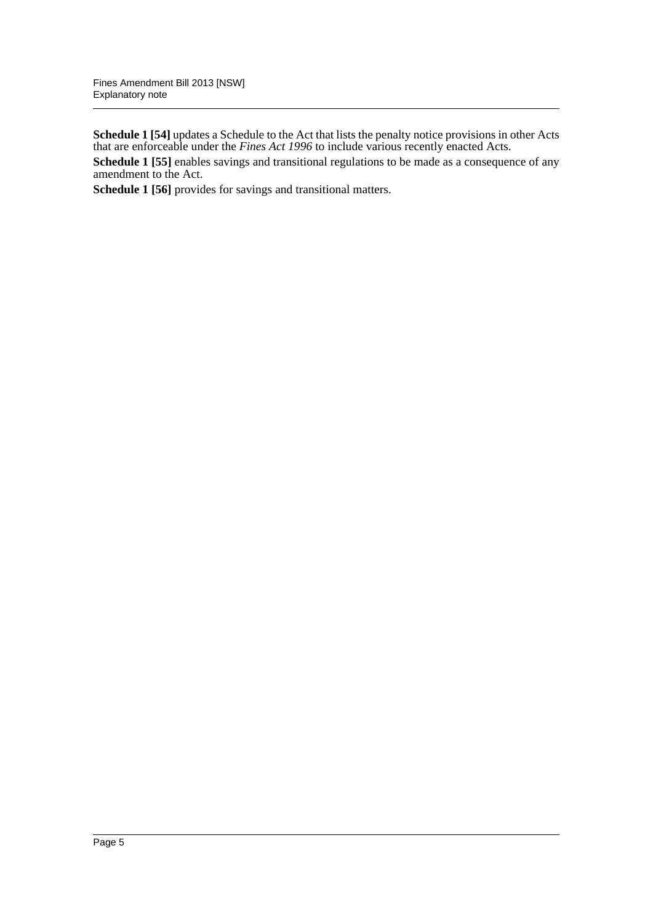**Schedule 1 [54]** updates a Schedule to the Act that lists the penalty notice provisions in other Acts that are enforceable under the *Fines Act 1996* to include various recently enacted Acts.

**Schedule 1 [55]** enables savings and transitional regulations to be made as a consequence of any amendment to the Act.

**Schedule 1 [56]** provides for savings and transitional matters.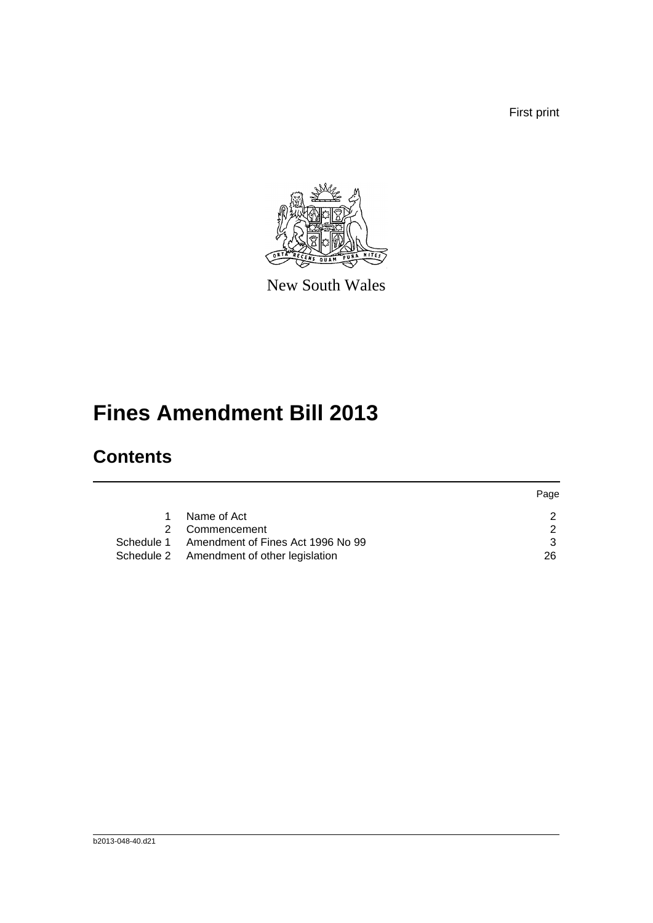First print



New South Wales

## **Fines Amendment Bill 2013**

## **Contents**

|                                              | Page |
|----------------------------------------------|------|
| Name of Act                                  |      |
| Commencement                                 | າ    |
| Schedule 1 Amendment of Fines Act 1996 No 99 | ર    |
| Schedule 2 Amendment of other legislation    | 26   |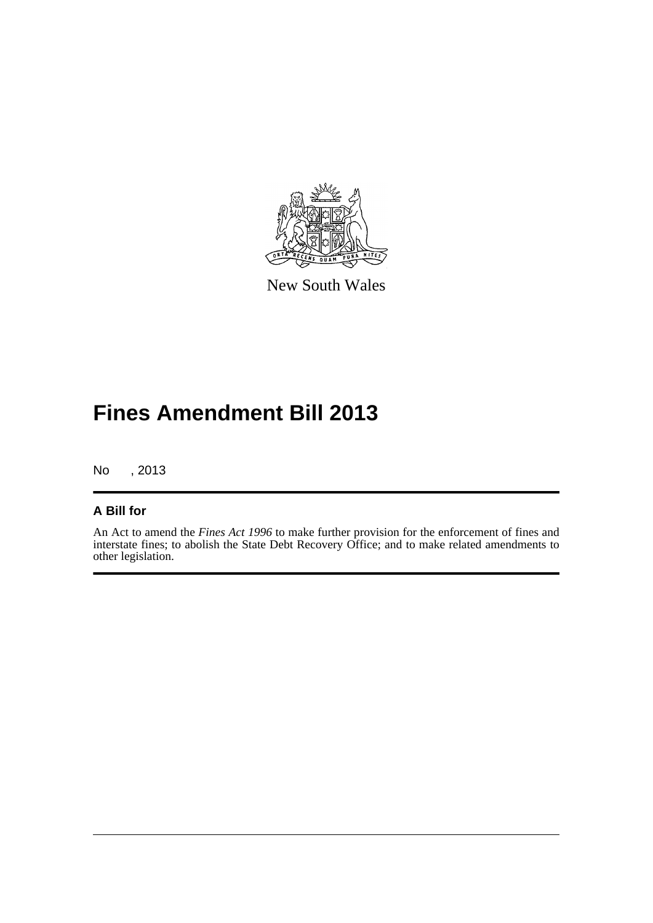

New South Wales

## **Fines Amendment Bill 2013**

No , 2013

### **A Bill for**

An Act to amend the *Fines Act 1996* to make further provision for the enforcement of fines and interstate fines; to abolish the State Debt Recovery Office; and to make related amendments to other legislation.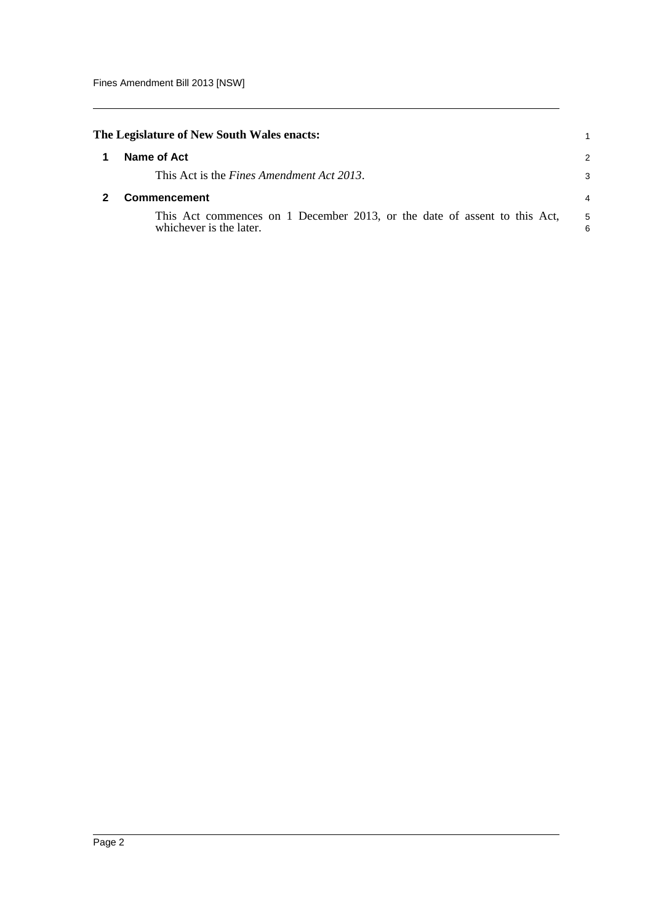<span id="page-7-1"></span><span id="page-7-0"></span>

|             | The Legislature of New South Wales enacts:                                                           |                |  |
|-------------|------------------------------------------------------------------------------------------------------|----------------|--|
| Name of Act |                                                                                                      |                |  |
|             | This Act is the Fines Amendment Act 2013.                                                            | 3              |  |
|             | Commencement                                                                                         | $\overline{4}$ |  |
|             | This Act commences on 1 December 2013, or the date of assent to this Act,<br>whichever is the later. | 5<br>6         |  |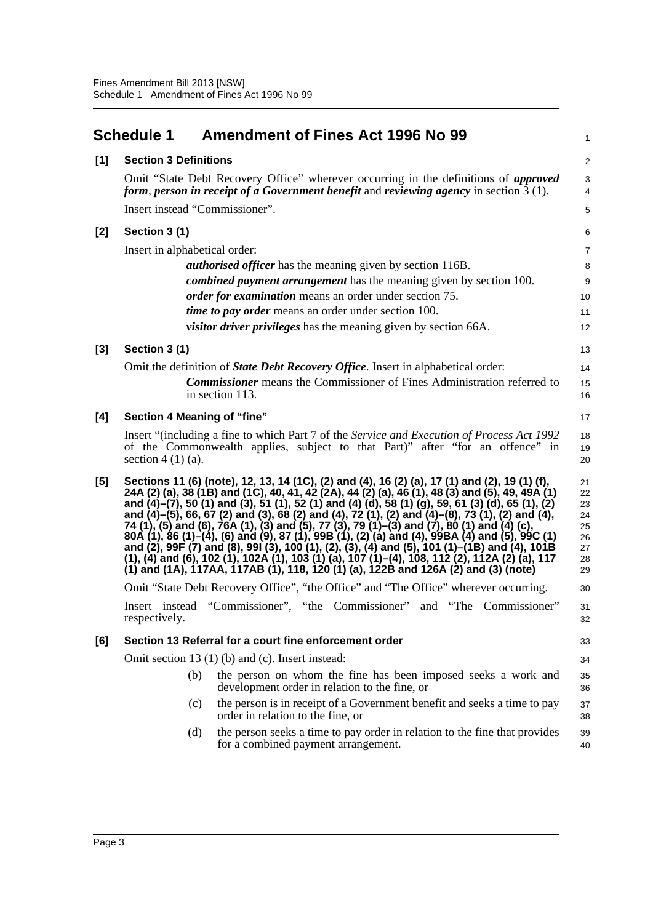<span id="page-8-0"></span>

| <b>Amendment of Fines Act 1996 No 99</b>                                                                                                                                                                                                                                                                                                                                                                                                                                                                                                                                                                                                                                                                                                                                                                                                  | 1                                                                               |
|-------------------------------------------------------------------------------------------------------------------------------------------------------------------------------------------------------------------------------------------------------------------------------------------------------------------------------------------------------------------------------------------------------------------------------------------------------------------------------------------------------------------------------------------------------------------------------------------------------------------------------------------------------------------------------------------------------------------------------------------------------------------------------------------------------------------------------------------|---------------------------------------------------------------------------------|
| <b>Section 3 Definitions</b>                                                                                                                                                                                                                                                                                                                                                                                                                                                                                                                                                                                                                                                                                                                                                                                                              | $\sqrt{2}$                                                                      |
| Omit "State Debt Recovery Office" wherever occurring in the definitions of <i>approved</i><br>form, person in receipt of a Government benefit and reviewing agency in section $3(1)$ .                                                                                                                                                                                                                                                                                                                                                                                                                                                                                                                                                                                                                                                    | $\sqrt{3}$<br>4                                                                 |
| Insert instead "Commissioner".                                                                                                                                                                                                                                                                                                                                                                                                                                                                                                                                                                                                                                                                                                                                                                                                            | $\mathbf 5$                                                                     |
| Section 3 (1)                                                                                                                                                                                                                                                                                                                                                                                                                                                                                                                                                                                                                                                                                                                                                                                                                             | 6                                                                               |
| Insert in alphabetical order:                                                                                                                                                                                                                                                                                                                                                                                                                                                                                                                                                                                                                                                                                                                                                                                                             | 7                                                                               |
| <i>authorised officer</i> has the meaning given by section 116B.                                                                                                                                                                                                                                                                                                                                                                                                                                                                                                                                                                                                                                                                                                                                                                          | 8                                                                               |
| <i>combined payment arrangement</i> has the meaning given by section 100.                                                                                                                                                                                                                                                                                                                                                                                                                                                                                                                                                                                                                                                                                                                                                                 | 9                                                                               |
| order for examination means an order under section 75.                                                                                                                                                                                                                                                                                                                                                                                                                                                                                                                                                                                                                                                                                                                                                                                    | 10                                                                              |
|                                                                                                                                                                                                                                                                                                                                                                                                                                                                                                                                                                                                                                                                                                                                                                                                                                           | 11                                                                              |
| <i>visitor driver privileges</i> has the meaning given by section 66A.                                                                                                                                                                                                                                                                                                                                                                                                                                                                                                                                                                                                                                                                                                                                                                    | 12                                                                              |
| Section 3 (1)                                                                                                                                                                                                                                                                                                                                                                                                                                                                                                                                                                                                                                                                                                                                                                                                                             | 13                                                                              |
| Omit the definition of <i>State Debt Recovery Office</i> . Insert in alphabetical order:                                                                                                                                                                                                                                                                                                                                                                                                                                                                                                                                                                                                                                                                                                                                                  | 14                                                                              |
| <b>Commissioner</b> means the Commissioner of Fines Administration referred to<br>in section 113.                                                                                                                                                                                                                                                                                                                                                                                                                                                                                                                                                                                                                                                                                                                                         | 15<br>16                                                                        |
| Section 4 Meaning of "fine"                                                                                                                                                                                                                                                                                                                                                                                                                                                                                                                                                                                                                                                                                                                                                                                                               | 17                                                                              |
| Insert "(including a fine to which Part 7 of the <i>Service and Execution of Process Act 1992</i> )<br>of the Commonwealth applies, subject to that Part)" after "for an offence" in<br>section $4(1)(a)$ .                                                                                                                                                                                                                                                                                                                                                                                                                                                                                                                                                                                                                               | 18<br>19<br>20                                                                  |
| Sections 11 (6) (note), 12, 13, 14 (1C), (2) and (4), 16 (2) (a), 17 (1) and (2), 19 (1) (f),<br>24A (2) (a), 38 (1B) and (1C), 40, 41, 42 (2A), 44 (2) (a), 46 (1), 48 (3) and (5), 49, 49A (1)<br>and $(4)-(7)$ , 50 (1) and (3), 51 (1), 52 (1) and (4) (d), 58 (1) (g), 59, 61 (3) (d), 65 (1), (2)<br>and (4)–(5), 66, 67 (2) and (3), 68 (2) and (4), 72 (1), (2) and (4)–(8), 73 (1), (2) and (4),<br>74 (1), (5) and (6), 76A (1), (3) and (5), 77 (3), 79 (1)–(3) and (7), 80 (1) and (4) (c),<br>80A (1), 86 (1)–(4), (6) and (9), 87 (1), 99B (1), (2) (a) and (4), 99BA (4) and (5), 99C (1)<br>and (2), 99F (7) and (8), 99I (3), 10<br>(1), (4) and (6), 102 (1), 102A (1), 103 (1) (a), 107 (1)–(4), 108, 112 (2), 112A (2) (a), 117<br>(1) and (1A), 117AA, 117AB (1), 118, 120 (1) (a), 122B and 126A (2) and (3) (note) | 21<br>22<br>23<br>24<br>25<br>26<br>27<br>28<br>29                              |
| Omit "State Debt Recovery Office", "the Office" and "The Office" wherever occurring.                                                                                                                                                                                                                                                                                                                                                                                                                                                                                                                                                                                                                                                                                                                                                      | 30                                                                              |
| Insert instead "Commissioner", "the Commissioner" and "The Commissioner"<br>respectively.                                                                                                                                                                                                                                                                                                                                                                                                                                                                                                                                                                                                                                                                                                                                                 | 31<br>32                                                                        |
| Section 13 Referral for a court fine enforcement order                                                                                                                                                                                                                                                                                                                                                                                                                                                                                                                                                                                                                                                                                                                                                                                    | 33                                                                              |
| Omit section 13 (1) (b) and (c). Insert instead:                                                                                                                                                                                                                                                                                                                                                                                                                                                                                                                                                                                                                                                                                                                                                                                          | 34                                                                              |
| (b)<br>the person on whom the fine has been imposed seeks a work and<br>development order in relation to the fine, or                                                                                                                                                                                                                                                                                                                                                                                                                                                                                                                                                                                                                                                                                                                     | 35<br>36                                                                        |
| the person is in receipt of a Government benefit and seeks a time to pay<br>(c)<br>order in relation to the fine, or                                                                                                                                                                                                                                                                                                                                                                                                                                                                                                                                                                                                                                                                                                                      | 37<br>38                                                                        |
| the person seeks a time to pay order in relation to the fine that provides<br>(d)<br>for a combined payment arrangement.                                                                                                                                                                                                                                                                                                                                                                                                                                                                                                                                                                                                                                                                                                                  | 39<br>40                                                                        |
|                                                                                                                                                                                                                                                                                                                                                                                                                                                                                                                                                                                                                                                                                                                                                                                                                                           | <b>Schedule 1</b><br><i>time to pay order</i> means an order under section 100. |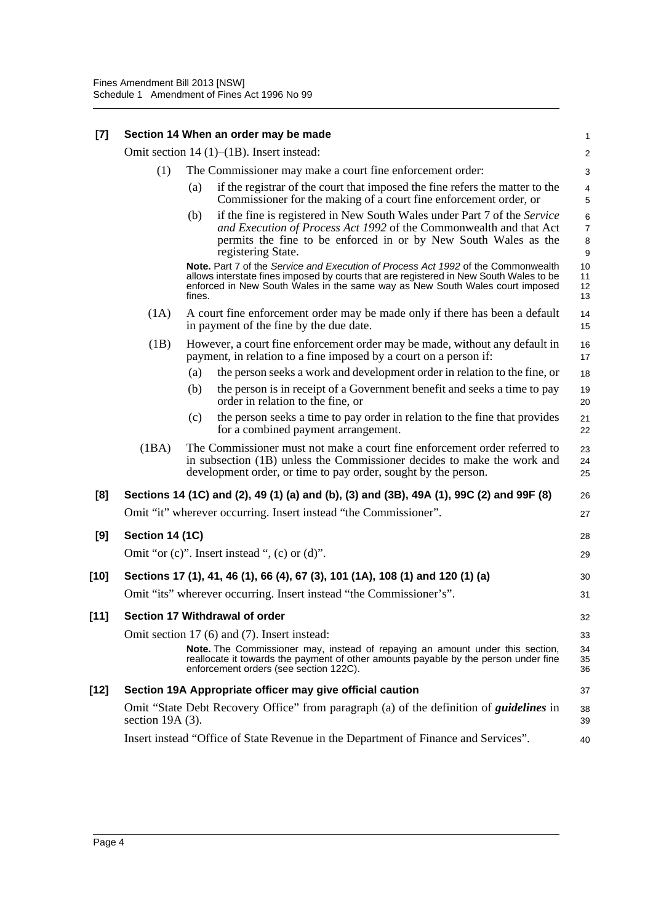| $\left[7\right]$ | Section 14 When an order may be made |  |  |
|------------------|--------------------------------------|--|--|
|------------------|--------------------------------------|--|--|

Omit section 14 (1)–(1B). Insert instead:

| (1) | The Commissioner may make a court fine enforcement order: |                                                                              |  |  |
|-----|-----------------------------------------------------------|------------------------------------------------------------------------------|--|--|
| (a) |                                                           | if the registrar of the court that imposed the fine refers the matter to the |  |  |
|     |                                                           | Commissioner for the making of a court fine enforcement order, or            |  |  |

(b) if the fine is registered in New South Wales under Part 7 of the *Service and Execution of Process Act 1992* of the Commonwealth and that Act permits the fine to be enforced in or by New South Wales as the registering State.

**Note.** Part 7 of the *Service and Execution of Process Act 1992* of the Commonwealth allows interstate fines imposed by courts that are registered in New South Wales to be enforced in New South Wales in the same way as New South Wales court imposed fines.

- (1A) A court fine enforcement order may be made only if there has been a default in payment of the fine by the due date.
- (1B) However, a court fine enforcement order may be made, without any default in payment, in relation to a fine imposed by a court on a person if: 16 17
	- (a) the person seeks a work and development order in relation to the fine, or 18
	- (b) the person is in receipt of a Government benefit and seeks a time to pay order in relation to the fine, or
	- (c) the person seeks a time to pay order in relation to the fine that provides for a combined payment arrangement.
- (1BA) The Commissioner must not make a court fine enforcement order referred to in subsection (1B) unless the Commissioner decides to make the work and development order, or time to pay order, sought by the person.

#### **[8] Sections 14 (1C) and (2), 49 (1) (a) and (b), (3) and (3B), 49A (1), 99C (2) and 99F (8)** Omit "it" wherever occurring. Insert instead "the Commissioner". **[9] Section 14 (1C)** Omit "or (c)". Insert instead ", (c) or (d)". **[10] Sections 17 (1), 41, 46 (1), 66 (4), 67 (3), 101 (1A), 108 (1) and 120 (1) (a)** Omit "its" wherever occurring. Insert instead "the Commissioner's". **[11] Section 17 Withdrawal of order** Omit section 17 (6) and (7). Insert instead: **Note.** The Commissioner may, instead of repaying an amount under this section, reallocate it towards the payment of other amounts payable by the person under fine enforcement orders (see section 122C). 26 27 28 29 30 31 32 33 34 35 36

# **[12] Section 19A Appropriate officer may give official caution**

Omit "State Debt Recovery Office" from paragraph (a) of the definition of *guidelines* in section 19A (3).

Insert instead "Office of State Revenue in the Department of Finance and Services".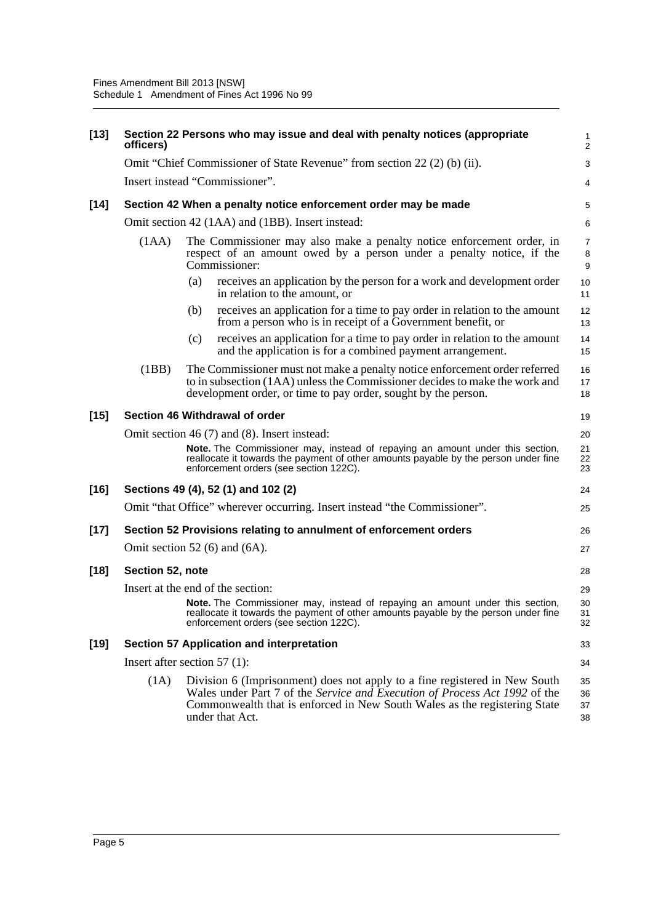| $[13]$ | officers)        | Section 22 Persons who may issue and deal with penalty notices (appropriate                                                                                                                                                                              | $\mathbf{1}$<br>2        |
|--------|------------------|----------------------------------------------------------------------------------------------------------------------------------------------------------------------------------------------------------------------------------------------------------|--------------------------|
|        |                  | Omit "Chief Commissioner of State Revenue" from section 22 (2) (b) (ii).                                                                                                                                                                                 | 3                        |
|        |                  | Insert instead "Commissioner".                                                                                                                                                                                                                           | 4                        |
| $[14]$ |                  | Section 42 When a penalty notice enforcement order may be made                                                                                                                                                                                           | 5                        |
|        |                  | Omit section 42 (1AA) and (1BB). Insert instead:                                                                                                                                                                                                         | 6                        |
|        | (1AA)            | The Commissioner may also make a penalty notice enforcement order, in<br>respect of an amount owed by a person under a penalty notice, if the<br>Commissioner:                                                                                           | $\overline{7}$<br>8<br>9 |
|        |                  | receives an application by the person for a work and development order<br>(a)<br>in relation to the amount, or                                                                                                                                           | 10<br>11                 |
|        |                  | receives an application for a time to pay order in relation to the amount<br>(b)<br>from a person who is in receipt of a Government benefit, or                                                                                                          | 12<br>13                 |
|        |                  | receives an application for a time to pay order in relation to the amount<br>(c)<br>and the application is for a combined payment arrangement.                                                                                                           | 14<br>15                 |
|        | (1BB)            | The Commissioner must not make a penalty notice enforcement order referred<br>to in subsection (1AA) unless the Commissioner decides to make the work and<br>development order, or time to pay order, sought by the person.                              | 16<br>17<br>18           |
| $[15]$ |                  | Section 46 Withdrawal of order                                                                                                                                                                                                                           | 19                       |
|        |                  | Omit section 46 (7) and (8). Insert instead:                                                                                                                                                                                                             | 20                       |
|        |                  | Note. The Commissioner may, instead of repaying an amount under this section,<br>reallocate it towards the payment of other amounts payable by the person under fine<br>enforcement orders (see section 122C).                                           | 21<br>22<br>23           |
| $[16]$ |                  | Sections 49 (4), 52 (1) and 102 (2)                                                                                                                                                                                                                      | 24                       |
|        |                  | Omit "that Office" wherever occurring. Insert instead "the Commissioner".                                                                                                                                                                                | 25                       |
| $[17]$ |                  | Section 52 Provisions relating to annulment of enforcement orders                                                                                                                                                                                        | 26                       |
|        |                  | Omit section 52 (6) and (6A).                                                                                                                                                                                                                            | 27                       |
| $[18]$ | Section 52, note |                                                                                                                                                                                                                                                          | 28                       |
|        |                  | Insert at the end of the section:                                                                                                                                                                                                                        | 29                       |
|        |                  | Note. The Commissioner may, instead of repaying an amount under this section,<br>reallocate it towards the payment of other amounts payable by the person under fine<br>enforcement orders (see section 122C).                                           | 30<br>31<br>32           |
| $[19]$ |                  | <b>Section 57 Application and interpretation</b>                                                                                                                                                                                                         | 33                       |
|        |                  | Insert after section 57 $(1)$ :                                                                                                                                                                                                                          | 34                       |
|        | (1A)             | Division 6 (Imprisonment) does not apply to a fine registered in New South<br>Wales under Part 7 of the Service and Execution of Process Act 1992 of the<br>Commonwealth that is enforced in New South Wales as the registering State<br>under that Act. | 35<br>36<br>37<br>38     |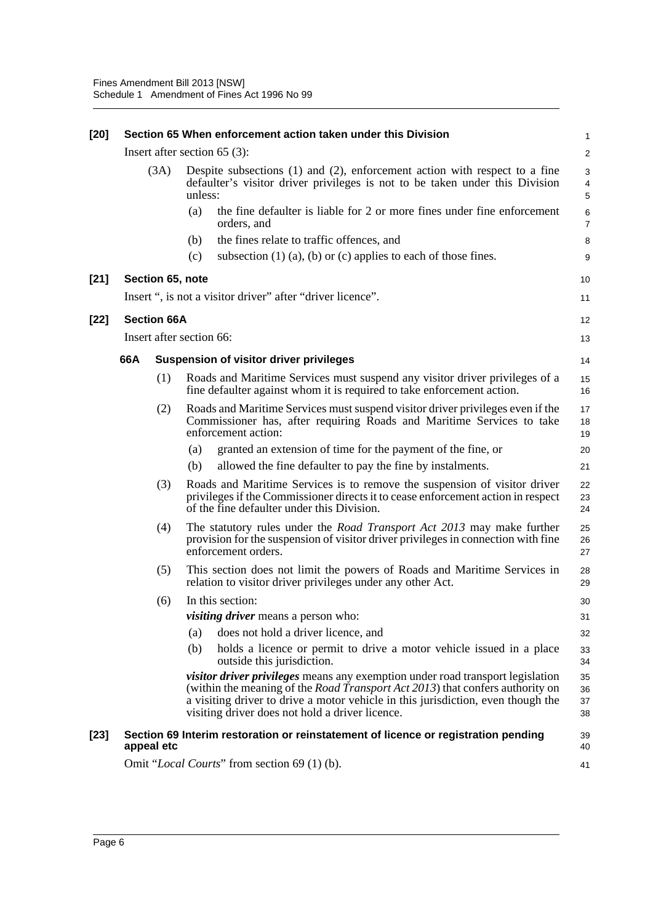| $[20]$ |      |                    | Section 65 When enforcement action taken under this Division                                                                                                                                                                                                                                                          | 1                       |
|--------|------|--------------------|-----------------------------------------------------------------------------------------------------------------------------------------------------------------------------------------------------------------------------------------------------------------------------------------------------------------------|-------------------------|
|        |      |                    | Insert after section $65$ (3):                                                                                                                                                                                                                                                                                        | $\overline{\mathbf{c}}$ |
|        | (3A) |                    | Despite subsections $(1)$ and $(2)$ , enforcement action with respect to a fine<br>defaulter's visitor driver privileges is not to be taken under this Division<br>unless:                                                                                                                                            | 3<br>4<br>5             |
|        |      |                    | the fine defaulter is liable for 2 or more fines under fine enforcement<br>(a)<br>orders, and                                                                                                                                                                                                                         | 6<br>$\overline{7}$     |
|        |      |                    | the fines relate to traffic offences, and<br>(b)                                                                                                                                                                                                                                                                      | 8                       |
|        |      |                    | (c)<br>subsection $(1)$ $(a)$ , $(b)$ or $(c)$ applies to each of those fines.                                                                                                                                                                                                                                        | 9                       |
| $[21]$ |      | Section 65, note   |                                                                                                                                                                                                                                                                                                                       | 10                      |
|        |      |                    | Insert ", is not a visitor driver" after "driver licence".                                                                                                                                                                                                                                                            | 11                      |
| $[22]$ |      | <b>Section 66A</b> |                                                                                                                                                                                                                                                                                                                       | 12                      |
|        |      |                    | Insert after section 66:                                                                                                                                                                                                                                                                                              | 13                      |
|        | 66A  |                    | <b>Suspension of visitor driver privileges</b>                                                                                                                                                                                                                                                                        | 14                      |
|        |      | (1)                | Roads and Maritime Services must suspend any visitor driver privileges of a<br>fine defaulter against whom it is required to take enforcement action.                                                                                                                                                                 | 15<br>16                |
|        |      | (2)                | Roads and Maritime Services must suspend visitor driver privileges even if the<br>Commissioner has, after requiring Roads and Maritime Services to take<br>enforcement action:                                                                                                                                        | 17<br>18<br>19          |
|        |      |                    | granted an extension of time for the payment of the fine, or<br>(a)                                                                                                                                                                                                                                                   | 20                      |
|        |      |                    | (b)<br>allowed the fine defaulter to pay the fine by instalments.                                                                                                                                                                                                                                                     | 21                      |
|        |      | (3)                | Roads and Maritime Services is to remove the suspension of visitor driver<br>privileges if the Commissioner directs it to cease enforcement action in respect<br>of the fine defaulter under this Division.                                                                                                           | 22<br>23<br>24          |
|        |      | (4)                | The statutory rules under the Road Transport Act 2013 may make further<br>provision for the suspension of visitor driver privileges in connection with fine<br>enforcement orders.                                                                                                                                    | 25<br>26<br>27          |
|        |      | (5)                | This section does not limit the powers of Roads and Maritime Services in<br>relation to visitor driver privileges under any other Act.                                                                                                                                                                                | 28<br>29                |
|        |      | (6)                | In this section:                                                                                                                                                                                                                                                                                                      | 30                      |
|        |      |                    | <i>visiting driver</i> means a person who:                                                                                                                                                                                                                                                                            | 31                      |
|        |      |                    | does not hold a driver licence, and<br>(a)                                                                                                                                                                                                                                                                            | 32                      |
|        |      |                    | (b)<br>holds a licence or permit to drive a motor vehicle issued in a place<br>outside this jurisdiction.                                                                                                                                                                                                             | 33<br>34                |
|        |      |                    | <i>visitor driver privileges</i> means any exemption under road transport legislation<br>(within the meaning of the <i>Road Transport Act 2013</i> ) that confers authority on<br>a visiting driver to drive a motor vehicle in this jurisdiction, even though the<br>visiting driver does not hold a driver licence. | 35<br>36<br>37<br>38    |
| $[23]$ |      | appeal etc         | Section 69 Interim restoration or reinstatement of licence or registration pending                                                                                                                                                                                                                                    | 39<br>40                |
|        |      |                    | Omit "Local Courts" from section 69 (1) (b).                                                                                                                                                                                                                                                                          | 41                      |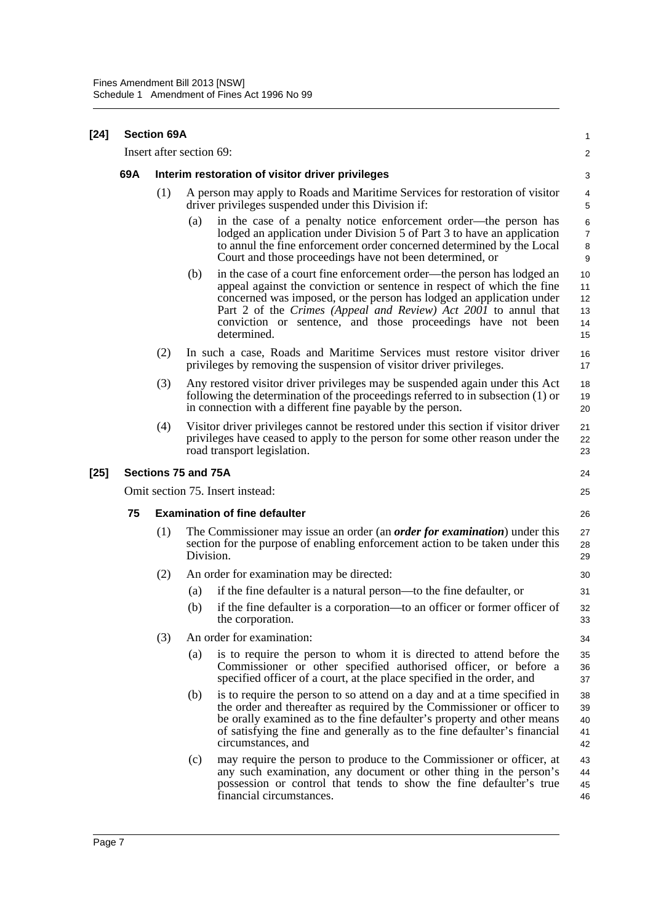| $[24]$ | <b>Section 69A</b> |     |                                                                                                                                                                                                                                                                                                                                                                                  |                                  |
|--------|--------------------|-----|----------------------------------------------------------------------------------------------------------------------------------------------------------------------------------------------------------------------------------------------------------------------------------------------------------------------------------------------------------------------------------|----------------------------------|
|        |                    |     | Insert after section 69:                                                                                                                                                                                                                                                                                                                                                         | $\overline{\mathbf{c}}$          |
|        | 69A                |     | Interim restoration of visitor driver privileges                                                                                                                                                                                                                                                                                                                                 | 3                                |
|        |                    | (1) | A person may apply to Roads and Maritime Services for restoration of visitor<br>driver privileges suspended under this Division if:                                                                                                                                                                                                                                              | 4<br>5                           |
|        |                    |     | in the case of a penalty notice enforcement order—the person has<br>(a)<br>lodged an application under Division 5 of Part 3 to have an application<br>to annul the fine enforcement order concerned determined by the Local<br>Court and those proceedings have not been determined, or                                                                                          | 6<br>7<br>8<br>9                 |
|        |                    |     | (b)<br>in the case of a court fine enforcement order—the person has lodged an<br>appeal against the conviction or sentence in respect of which the fine<br>concerned was imposed, or the person has lodged an application under<br>Part 2 of the Crimes (Appeal and Review) Act 2001 to annul that<br>conviction or sentence, and those proceedings have not been<br>determined. | 10<br>11<br>12<br>13<br>14<br>15 |
|        |                    | (2) | In such a case, Roads and Maritime Services must restore visitor driver<br>privileges by removing the suspension of visitor driver privileges.                                                                                                                                                                                                                                   | 16<br>17                         |
|        |                    | (3) | Any restored visitor driver privileges may be suspended again under this Act<br>following the determination of the proceedings referred to in subsection (1) or<br>in connection with a different fine payable by the person.                                                                                                                                                    | 18<br>19<br>20                   |
|        |                    | (4) | Visitor driver privileges cannot be restored under this section if visitor driver<br>privileges have ceased to apply to the person for some other reason under the<br>road transport legislation.                                                                                                                                                                                | 21<br>22<br>23                   |
| $[25]$ |                    |     | Sections 75 and 75A                                                                                                                                                                                                                                                                                                                                                              | 24                               |
|        |                    |     | Omit section 75. Insert instead:                                                                                                                                                                                                                                                                                                                                                 | 25                               |
|        | 75                 |     | <b>Examination of fine defaulter</b>                                                                                                                                                                                                                                                                                                                                             | 26                               |
|        |                    | (1) | The Commissioner may issue an order (an <i>order for examination</i> ) under this<br>section for the purpose of enabling enforcement action to be taken under this<br>Division.                                                                                                                                                                                                  | 27<br>28<br>29                   |
|        |                    | (2) | An order for examination may be directed:                                                                                                                                                                                                                                                                                                                                        | 30                               |
|        |                    |     | if the fine defaulter is a natural person—to the fine defaulter, or<br>(a)                                                                                                                                                                                                                                                                                                       | 31                               |
|        |                    |     | if the fine defaulter is a corporation—to an officer or former officer of<br>(b)<br>the corporation.                                                                                                                                                                                                                                                                             | 32<br>33                         |
|        |                    | (3) | An order for examination:                                                                                                                                                                                                                                                                                                                                                        | 34                               |
|        |                    |     | is to require the person to whom it is directed to attend before the<br>(a)<br>Commissioner or other specified authorised officer, or before a<br>specified officer of a court, at the place specified in the order, and                                                                                                                                                         | 35<br>36<br>37                   |
|        |                    |     | (b)<br>is to require the person to so attend on a day and at a time specified in<br>the order and thereafter as required by the Commissioner or officer to<br>be orally examined as to the fine defaulter's property and other means<br>of satisfying the fine and generally as to the fine defaulter's financial<br>circumstances, and                                          | 38<br>39<br>40<br>41<br>42       |
|        |                    |     | may require the person to produce to the Commissioner or officer, at<br>(c)<br>any such examination, any document or other thing in the person's<br>possession or control that tends to show the fine defaulter's true<br>financial circumstances.                                                                                                                               | 43<br>44<br>45<br>46             |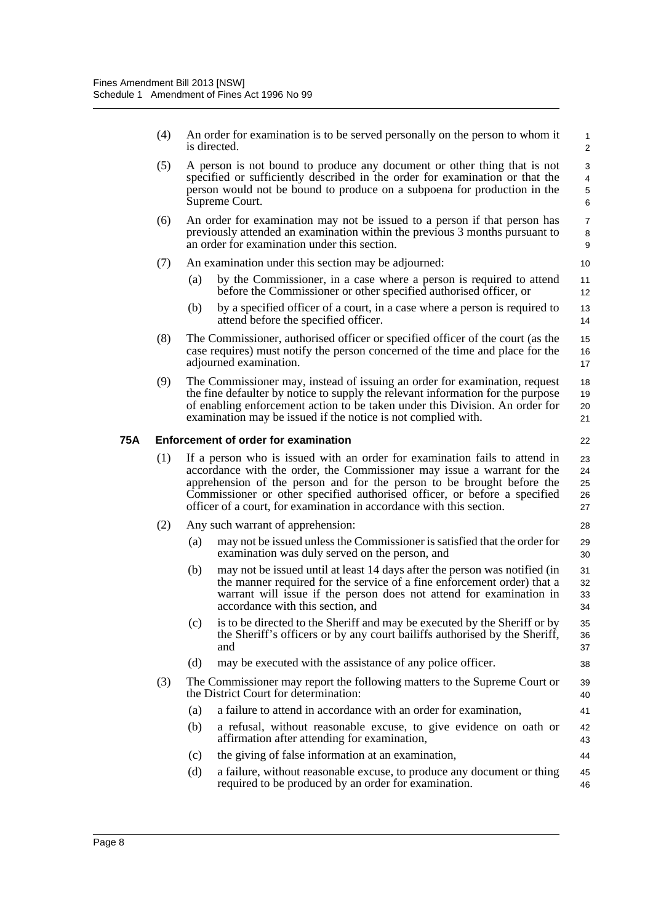|     | (4) |     | An order for examination is to be served personally on the person to whom it<br>is directed.                                                                                                                                                                                                                                                                                         | $\mathbf{1}$<br>2             |
|-----|-----|-----|--------------------------------------------------------------------------------------------------------------------------------------------------------------------------------------------------------------------------------------------------------------------------------------------------------------------------------------------------------------------------------------|-------------------------------|
|     | (5) |     | A person is not bound to produce any document or other thing that is not<br>specified or sufficiently described in the order for examination or that the<br>person would not be bound to produce on a subpoena for production in the<br>Supreme Court.                                                                                                                               | 3<br>$\overline{4}$<br>5<br>6 |
|     | (6) |     | An order for examination may not be issued to a person if that person has<br>previously attended an examination within the previous 3 months pursuant to<br>an order for examination under this section.                                                                                                                                                                             | $\overline{7}$<br>8<br>9      |
|     | (7) |     | An examination under this section may be adjourned:                                                                                                                                                                                                                                                                                                                                  | 10                            |
|     |     | (a) | by the Commissioner, in a case where a person is required to attend<br>before the Commissioner or other specified authorised officer, or                                                                                                                                                                                                                                             | 11<br>12                      |
|     |     | (b) | by a specified officer of a court, in a case where a person is required to<br>attend before the specified officer.                                                                                                                                                                                                                                                                   | 13<br>14                      |
|     | (8) |     | The Commissioner, authorised officer or specified officer of the court (as the<br>case requires) must notify the person concerned of the time and place for the<br>adjourned examination.                                                                                                                                                                                            | 15<br>16<br>17                |
|     | (9) |     | The Commissioner may, instead of issuing an order for examination, request<br>the fine defaulter by notice to supply the relevant information for the purpose<br>of enabling enforcement action to be taken under this Division. An order for<br>examination may be issued if the notice is not complied with.                                                                       | 18<br>19<br>20<br>21          |
| 75A |     |     | <b>Enforcement of order for examination</b>                                                                                                                                                                                                                                                                                                                                          | 22                            |
|     | (1) |     | If a person who is issued with an order for examination fails to attend in<br>accordance with the order, the Commissioner may issue a warrant for the<br>apprehension of the person and for the person to be brought before the<br>Commissioner or other specified authorised officer, or before a specified<br>officer of a court, for examination in accordance with this section. | 23<br>24<br>25<br>26<br>27    |
|     | (2) |     | Any such warrant of apprehension:                                                                                                                                                                                                                                                                                                                                                    | 28                            |
|     |     | (a) | may not be issued unless the Commissioner is satisfied that the order for<br>examination was duly served on the person, and                                                                                                                                                                                                                                                          | 29<br>30                      |
|     |     | (b) | may not be issued until at least 14 days after the person was notified (in<br>the manner required for the service of a fine enforcement order) that a<br>warrant will issue if the person does not attend for examination in<br>accordance with this section, and                                                                                                                    | 31<br>32<br>33<br>34          |
|     |     | (c) | is to be directed to the Sheriff and may be executed by the Sheriff or by<br>the Sheriff's officers or by any court bailiffs authorised by the Sheriff,<br>and                                                                                                                                                                                                                       | 35<br>36<br>37                |
|     |     | (d) | may be executed with the assistance of any police officer.                                                                                                                                                                                                                                                                                                                           | 38                            |
|     | (3) |     | The Commissioner may report the following matters to the Supreme Court or<br>the District Court for determination:                                                                                                                                                                                                                                                                   | 39<br>40                      |
|     |     | (a) | a failure to attend in accordance with an order for examination,                                                                                                                                                                                                                                                                                                                     | 41                            |
|     |     | (b) | a refusal, without reasonable excuse, to give evidence on oath or<br>affirmation after attending for examination,                                                                                                                                                                                                                                                                    | 42<br>43                      |
|     |     | (c) | the giving of false information at an examination,                                                                                                                                                                                                                                                                                                                                   | 44                            |
|     |     | (d) | a failure, without reasonable excuse, to produce any document or thing<br>required to be produced by an order for examination.                                                                                                                                                                                                                                                       | 45<br>46                      |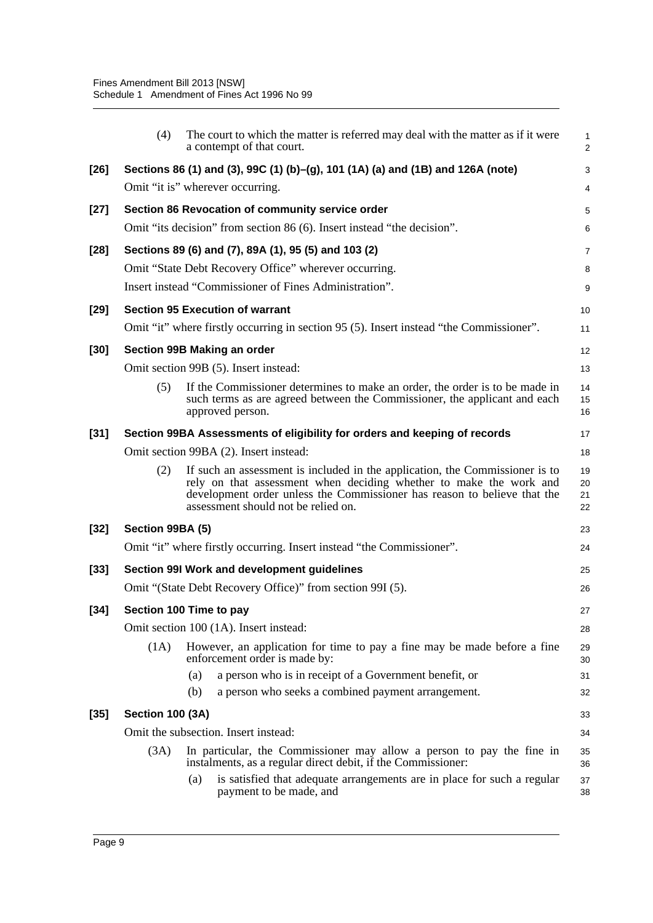|        | (4)                     | The court to which the matter is referred may deal with the matter as if it were<br>a contempt of that court.                                                                                                                                                         | 1<br>$\overline{2}$  |
|--------|-------------------------|-----------------------------------------------------------------------------------------------------------------------------------------------------------------------------------------------------------------------------------------------------------------------|----------------------|
| $[26]$ |                         | Sections 86 (1) and (3), 99C (1) (b)–(g), 101 (1A) (a) and (1B) and 126A (note)                                                                                                                                                                                       | 3                    |
|        |                         | Omit "it is" wherever occurring.                                                                                                                                                                                                                                      | 4                    |
| $[27]$ |                         | Section 86 Revocation of community service order                                                                                                                                                                                                                      | 5                    |
|        |                         | Omit "its decision" from section 86 (6). Insert instead "the decision".                                                                                                                                                                                               | 6                    |
| $[28]$ |                         | Sections 89 (6) and (7), 89A (1), 95 (5) and 103 (2)                                                                                                                                                                                                                  | 7                    |
|        |                         | Omit "State Debt Recovery Office" wherever occurring.                                                                                                                                                                                                                 | 8                    |
|        |                         | Insert instead "Commissioner of Fines Administration".                                                                                                                                                                                                                | 9                    |
| $[29]$ |                         | <b>Section 95 Execution of warrant</b>                                                                                                                                                                                                                                | 10                   |
|        |                         | Omit "it" where firstly occurring in section 95 (5). Insert instead "the Commissioner".                                                                                                                                                                               | 11                   |
| $[30]$ |                         | Section 99B Making an order                                                                                                                                                                                                                                           | 12                   |
|        |                         | Omit section 99B (5). Insert instead:                                                                                                                                                                                                                                 | 13                   |
|        | (5)                     | If the Commissioner determines to make an order, the order is to be made in<br>such terms as are agreed between the Commissioner, the applicant and each<br>approved person.                                                                                          | 14<br>15<br>16       |
| $[31]$ |                         | Section 99BA Assessments of eligibility for orders and keeping of records                                                                                                                                                                                             | 17                   |
|        |                         | Omit section 99BA (2). Insert instead:                                                                                                                                                                                                                                | 18                   |
|        | (2)                     | If such an assessment is included in the application, the Commissioner is to<br>rely on that assessment when deciding whether to make the work and<br>development order unless the Commissioner has reason to believe that the<br>assessment should not be relied on. | 19<br>20<br>21<br>22 |
| $[32]$ | Section 99BA (5)        |                                                                                                                                                                                                                                                                       | 23                   |
|        |                         | Omit "it" where firstly occurring. Insert instead "the Commissioner".                                                                                                                                                                                                 | 24                   |
| $[33]$ |                         | Section 99I Work and development guidelines                                                                                                                                                                                                                           | 25                   |
|        |                         | Omit "(State Debt Recovery Office)" from section 99I (5).                                                                                                                                                                                                             | 26                   |
| $[34]$ |                         | Section 100 Time to pay                                                                                                                                                                                                                                               | 27                   |
|        |                         | Omit section 100 (1A). Insert instead:                                                                                                                                                                                                                                | 28                   |
|        | (1A)                    | However, an application for time to pay a fine may be made before a fine<br>enforcement order is made by:                                                                                                                                                             | 29<br>30             |
|        |                         | a person who is in receipt of a Government benefit, or<br>(a)                                                                                                                                                                                                         | 31                   |
|        |                         | (b)<br>a person who seeks a combined payment arrangement.                                                                                                                                                                                                             | 32                   |
| $[35]$ | <b>Section 100 (3A)</b> |                                                                                                                                                                                                                                                                       | 33                   |
|        |                         | Omit the subsection. Insert instead:                                                                                                                                                                                                                                  | 34                   |
|        | (3A)                    | In particular, the Commissioner may allow a person to pay the fine in<br>instalments, as a regular direct debit, if the Commissioner:                                                                                                                                 | 35<br>36             |
|        |                         | is satisfied that adequate arrangements are in place for such a regular<br>(a)<br>payment to be made, and                                                                                                                                                             | 37<br>38             |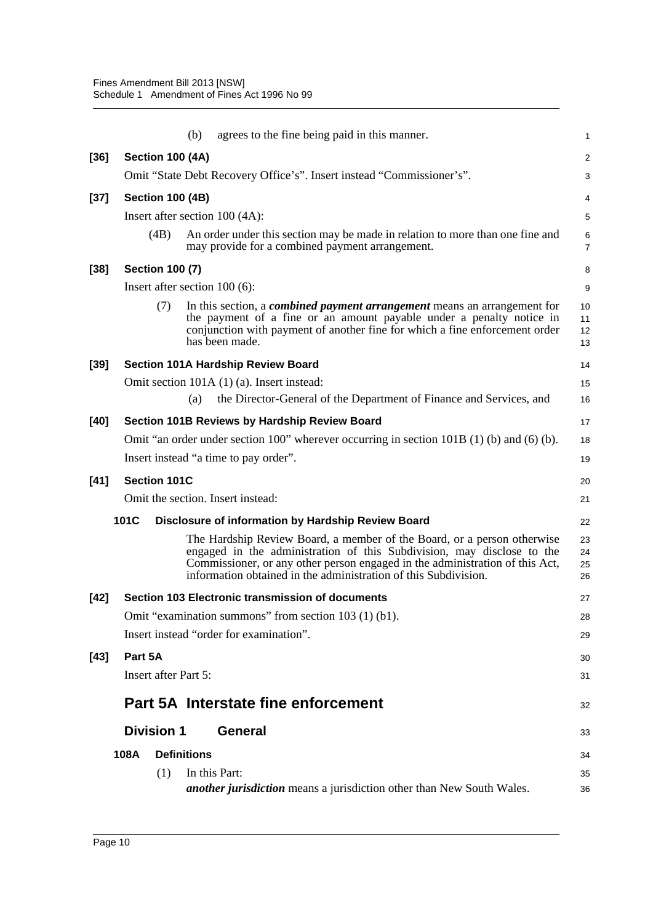|        |                             | agrees to the fine being paid in this manner.<br>(b)                                                                                                                                                                                                                                                 | 1                    |
|--------|-----------------------------|------------------------------------------------------------------------------------------------------------------------------------------------------------------------------------------------------------------------------------------------------------------------------------------------------|----------------------|
| $[36]$ | <b>Section 100 (4A)</b>     |                                                                                                                                                                                                                                                                                                      | 2                    |
|        |                             | Omit "State Debt Recovery Office's". Insert instead "Commissioner's".                                                                                                                                                                                                                                | 3                    |
| $[37]$ | <b>Section 100 (4B)</b>     |                                                                                                                                                                                                                                                                                                      | 4                    |
|        |                             | Insert after section 100 (4A):                                                                                                                                                                                                                                                                       | 5                    |
|        | (4B)                        | An order under this section may be made in relation to more than one fine and<br>may provide for a combined payment arrangement.                                                                                                                                                                     | 6<br>7               |
| $[38]$ | <b>Section 100 (7)</b>      |                                                                                                                                                                                                                                                                                                      | 8                    |
|        |                             | Insert after section $100(6)$ :                                                                                                                                                                                                                                                                      | 9                    |
|        | (7)                         | In this section, a <i>combined payment arrangement</i> means an arrangement for<br>the payment of a fine or an amount payable under a penalty notice in<br>conjunction with payment of another fine for which a fine enforcement order<br>has been made.                                             | 10<br>11<br>12<br>13 |
| $[39]$ |                             | <b>Section 101A Hardship Review Board</b>                                                                                                                                                                                                                                                            | 14                   |
|        |                             | Omit section 101A (1) (a). Insert instead:                                                                                                                                                                                                                                                           | 15                   |
|        |                             | the Director-General of the Department of Finance and Services, and<br>(a)                                                                                                                                                                                                                           | 16                   |
| $[40]$ |                             | <b>Section 101B Reviews by Hardship Review Board</b>                                                                                                                                                                                                                                                 | 17                   |
|        |                             | Omit "an order under section 100" wherever occurring in section 101B $(1)$ (b) and $(6)$ (b).                                                                                                                                                                                                        | 18                   |
|        |                             | Insert instead "a time to pay order".                                                                                                                                                                                                                                                                | 19                   |
| $[41]$ | <b>Section 101C</b>         |                                                                                                                                                                                                                                                                                                      | 20                   |
|        |                             | Omit the section. Insert instead:                                                                                                                                                                                                                                                                    | 21                   |
|        | 101C                        | Disclosure of information by Hardship Review Board                                                                                                                                                                                                                                                   | 22                   |
|        |                             | The Hardship Review Board, a member of the Board, or a person otherwise<br>engaged in the administration of this Subdivision, may disclose to the<br>Commissioner, or any other person engaged in the administration of this Act,<br>information obtained in the administration of this Subdivision. | 23<br>24<br>25<br>26 |
| $[42]$ |                             | Section 103 Electronic transmission of documents                                                                                                                                                                                                                                                     | 27                   |
|        |                             | Omit "examination summons" from section 103 (1) (b1).                                                                                                                                                                                                                                                | 28                   |
|        |                             | Insert instead "order for examination".                                                                                                                                                                                                                                                              | 29                   |
| $[43]$ | Part 5A                     |                                                                                                                                                                                                                                                                                                      | 30                   |
|        | <b>Insert after Part 5:</b> |                                                                                                                                                                                                                                                                                                      | 31                   |
|        |                             | Part 5A Interstate fine enforcement                                                                                                                                                                                                                                                                  | 32                   |
|        | <b>Division 1</b>           | <b>General</b>                                                                                                                                                                                                                                                                                       | 33                   |
|        | 108A                        | <b>Definitions</b>                                                                                                                                                                                                                                                                                   | 34                   |
|        | (1)                         | In this Part:                                                                                                                                                                                                                                                                                        | 35                   |
|        |                             | another jurisdiction means a jurisdiction other than New South Wales.                                                                                                                                                                                                                                | 36                   |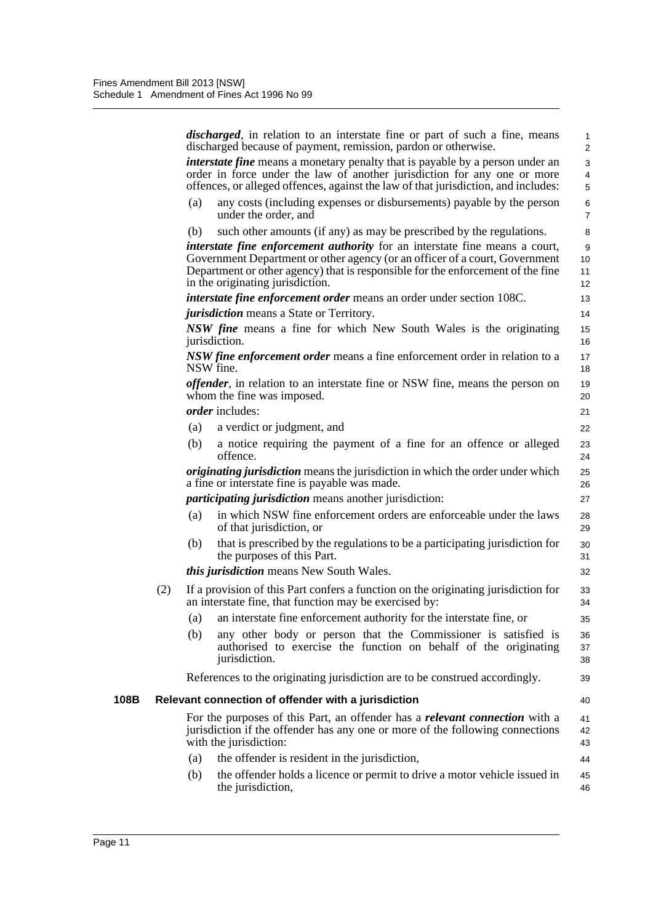*discharged*, in relation to an interstate fine or part of such a fine, means discharged because of payment, remission, pardon or otherwise. *interstate fine* means a monetary penalty that is payable by a person under an order in force under the law of another jurisdiction for any one or more offences, or alleged offences, against the law of that jurisdiction, and includes: (a) any costs (including expenses or disbursements) payable by the person under the order, and (b) such other amounts (if any) as may be prescribed by the regulations. *interstate fine enforcement authority* for an interstate fine means a court, Government Department or other agency (or an officer of a court, Government Department or other agency) that is responsible for the enforcement of the fine in the originating jurisdiction. *interstate fine enforcement order* means an order under section 108C. *jurisdiction* means a State or Territory. *NSW fine* means a fine for which New South Wales is the originating jurisdiction. *NSW fine enforcement order* means a fine enforcement order in relation to a NSW fine. *offender*, in relation to an interstate fine or NSW fine, means the person on whom the fine was imposed. *order* includes: (a) a verdict or judgment, and (b) a notice requiring the payment of a fine for an offence or alleged offence. *originating jurisdiction* means the jurisdiction in which the order under which a fine or interstate fine is payable was made. *participating jurisdiction* means another jurisdiction: (a) in which NSW fine enforcement orders are enforceable under the laws of that jurisdiction, or (b) that is prescribed by the regulations to be a participating jurisdiction for the purposes of this Part. *this jurisdiction* means New South Wales. (2) If a provision of this Part confers a function on the originating jurisdiction for an interstate fine, that function may be exercised by: (a) an interstate fine enforcement authority for the interstate fine, or (b) any other body or person that the Commissioner is satisfied is authorised to exercise the function on behalf of the originating jurisdiction. References to the originating jurisdiction are to be construed accordingly. **108B Relevant connection of offender with a jurisdiction** For the purposes of this Part, an offender has a *relevant connection* with a jurisdiction if the offender has any one or more of the following connections with the jurisdiction: (a) the offender is resident in the jurisdiction, (b) the offender holds a licence or permit to drive a motor vehicle issued in the jurisdiction, 1 2 3 4 5 6 7 8 9 10 11 12 13 14 15 16 17 18 19 20 21 22 23 24 25 26 27 28 29 30 31 32 33 34 35 36 37 38 39 40 41 42 43 44 45 46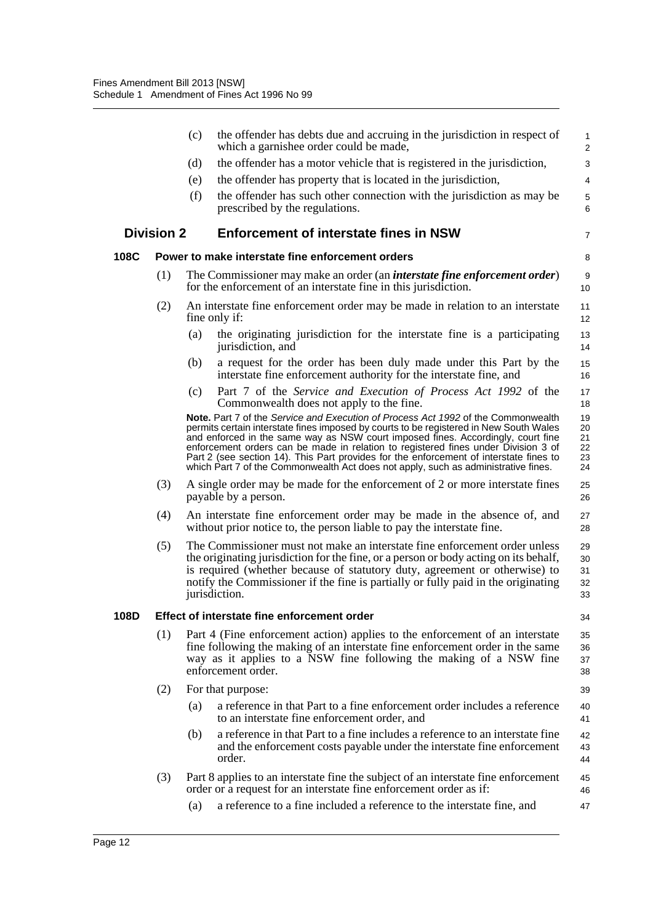|      |                   | (c) | the offender has debts due and accruing in the jurisdiction in respect of<br>which a garnishee order could be made,                                                                                                                                                                                                                                                                                                                                                                                                                   | $\mathbf{1}$<br>$\overline{2}$   |
|------|-------------------|-----|---------------------------------------------------------------------------------------------------------------------------------------------------------------------------------------------------------------------------------------------------------------------------------------------------------------------------------------------------------------------------------------------------------------------------------------------------------------------------------------------------------------------------------------|----------------------------------|
|      |                   | (d) | the offender has a motor vehicle that is registered in the jurisdiction,                                                                                                                                                                                                                                                                                                                                                                                                                                                              | 3                                |
|      |                   | (e) | the offender has property that is located in the jurisdiction,                                                                                                                                                                                                                                                                                                                                                                                                                                                                        | 4                                |
|      |                   | (f) | the offender has such other connection with the jurisdiction as may be<br>prescribed by the regulations.                                                                                                                                                                                                                                                                                                                                                                                                                              | 5<br>6                           |
|      | <b>Division 2</b> |     | <b>Enforcement of interstate fines in NSW</b>                                                                                                                                                                                                                                                                                                                                                                                                                                                                                         | 7                                |
| 108C |                   |     | Power to make interstate fine enforcement orders                                                                                                                                                                                                                                                                                                                                                                                                                                                                                      | 8                                |
|      | (1)               |     | The Commissioner may make an order (an <i>interstate fine enforcement order</i> )<br>for the enforcement of an interstate fine in this jurisdiction.                                                                                                                                                                                                                                                                                                                                                                                  | 9<br>10                          |
|      | (2)               |     | An interstate fine enforcement order may be made in relation to an interstate<br>fine only if:                                                                                                                                                                                                                                                                                                                                                                                                                                        | 11<br>12                         |
|      |                   | (a) | the originating jurisdiction for the interstate fine is a participating<br>jurisdiction, and                                                                                                                                                                                                                                                                                                                                                                                                                                          | 13<br>14                         |
|      |                   | (b) | a request for the order has been duly made under this Part by the<br>interstate fine enforcement authority for the interstate fine, and                                                                                                                                                                                                                                                                                                                                                                                               | 15<br>16                         |
|      |                   | (c) | Part 7 of the Service and Execution of Process Act 1992 of the<br>Commonwealth does not apply to the fine.                                                                                                                                                                                                                                                                                                                                                                                                                            | 17<br>18                         |
|      |                   |     | Note. Part 7 of the Service and Execution of Process Act 1992 of the Commonwealth<br>permits certain interstate fines imposed by courts to be registered in New South Wales<br>and enforced in the same way as NSW court imposed fines. Accordingly, court fine<br>enforcement orders can be made in relation to registered fines under Division 3 of<br>Part 2 (see section 14). This Part provides for the enforcement of interstate fines to<br>which Part 7 of the Commonwealth Act does not apply, such as administrative fines. | 19<br>20<br>21<br>22<br>23<br>24 |
|      | (3)               |     | A single order may be made for the enforcement of 2 or more interstate fines<br>payable by a person.                                                                                                                                                                                                                                                                                                                                                                                                                                  | 25<br>26                         |
|      | (4)               |     | An interstate fine enforcement order may be made in the absence of, and<br>without prior notice to, the person liable to pay the interstate fine.                                                                                                                                                                                                                                                                                                                                                                                     | 27<br>28                         |
|      | (5)               |     | The Commissioner must not make an interstate fine enforcement order unless<br>the originating jurisdiction for the fine, or a person or body acting on its behalf,<br>is required (whether because of statutory duty, agreement or otherwise) to<br>notify the Commissioner if the fine is partially or fully paid in the originating<br>jurisdiction.                                                                                                                                                                                | 29<br>30<br>31<br>32<br>33       |
| 108D |                   |     | Effect of interstate fine enforcement order                                                                                                                                                                                                                                                                                                                                                                                                                                                                                           | 34                               |
|      | (1)               |     | Part 4 (Fine enforcement action) applies to the enforcement of an interstate<br>fine following the making of an interstate fine enforcement order in the same<br>way as it applies to a NSW fine following the making of a NSW fine<br>enforcement order.                                                                                                                                                                                                                                                                             | 35<br>36<br>37<br>38             |
|      | (2)               |     | For that purpose:                                                                                                                                                                                                                                                                                                                                                                                                                                                                                                                     | 39                               |
|      |                   | (a) | a reference in that Part to a fine enforcement order includes a reference<br>to an interstate fine enforcement order, and                                                                                                                                                                                                                                                                                                                                                                                                             | 40<br>41                         |
|      |                   | (b) | a reference in that Part to a fine includes a reference to an interstate fine<br>and the enforcement costs payable under the interstate fine enforcement<br>order.                                                                                                                                                                                                                                                                                                                                                                    | 42<br>43<br>44                   |
|      | (3)               |     | Part 8 applies to an interstate fine the subject of an interstate fine enforcement<br>order or a request for an interstate fine enforcement order as if:                                                                                                                                                                                                                                                                                                                                                                              | 45<br>46                         |
|      |                   | (a) | a reference to a fine included a reference to the interstate fine, and                                                                                                                                                                                                                                                                                                                                                                                                                                                                | 47                               |
|      |                   |     |                                                                                                                                                                                                                                                                                                                                                                                                                                                                                                                                       |                                  |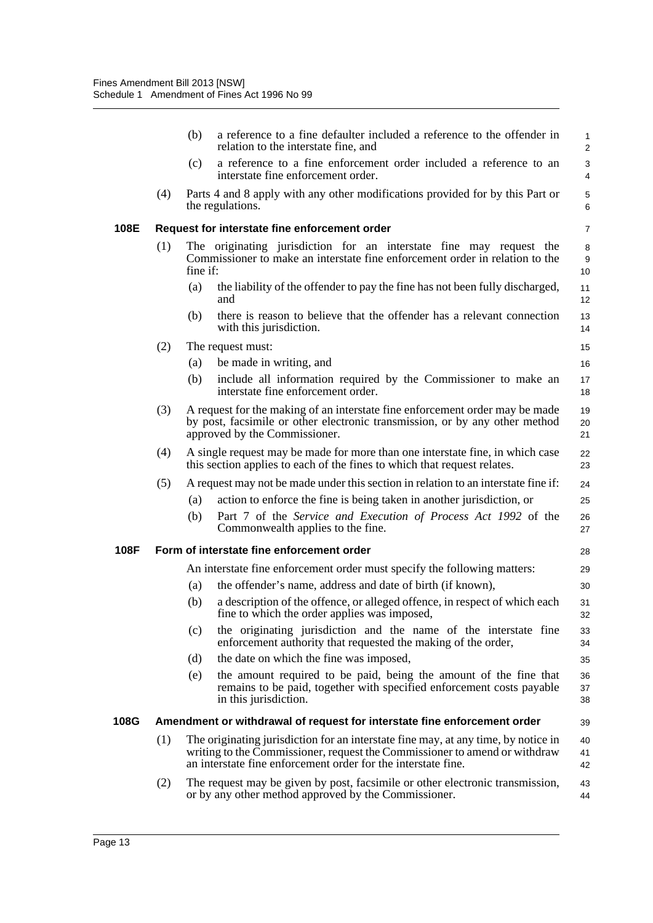|      |     | (b)<br>a reference to a fine defaulter included a reference to the offender in<br>relation to the interstate fine, and                                                                                                            | $\mathbf{1}$<br>2 |
|------|-----|-----------------------------------------------------------------------------------------------------------------------------------------------------------------------------------------------------------------------------------|-------------------|
|      |     | a reference to a fine enforcement order included a reference to an<br>(c)<br>interstate fine enforcement order.                                                                                                                   | 3<br>4            |
|      | (4) | Parts 4 and 8 apply with any other modifications provided for by this Part or<br>the regulations.                                                                                                                                 | 5<br>6            |
| 108E |     | Request for interstate fine enforcement order                                                                                                                                                                                     | $\overline{7}$    |
|      | (1) | The originating jurisdiction for an interstate fine may request the<br>Commissioner to make an interstate fine enforcement order in relation to the<br>fine if:                                                                   | 8<br>9<br>10      |
|      |     | the liability of the offender to pay the fine has not been fully discharged,<br>(a)<br>and                                                                                                                                        | 11<br>12          |
|      |     | there is reason to believe that the offender has a relevant connection<br>(b)<br>with this jurisdiction.                                                                                                                          | 13<br>14          |
|      | (2) | The request must:                                                                                                                                                                                                                 | 15                |
|      |     | be made in writing, and<br>(a)                                                                                                                                                                                                    | 16                |
|      |     | include all information required by the Commissioner to make an<br>(b)<br>interstate fine enforcement order.                                                                                                                      | 17<br>18          |
|      | (3) | A request for the making of an interstate fine enforcement order may be made<br>by post, facsimile or other electronic transmission, or by any other method<br>approved by the Commissioner.                                      | 19<br>20<br>21    |
|      | (4) | A single request may be made for more than one interstate fine, in which case<br>this section applies to each of the fines to which that request relates.                                                                         | 22<br>23          |
|      | (5) | A request may not be made under this section in relation to an interstate fine if:                                                                                                                                                | 24                |
|      |     | action to enforce the fine is being taken in another jurisdiction, or<br>(a)                                                                                                                                                      | 25                |
|      |     | Part 7 of the Service and Execution of Process Act 1992 of the<br>(b)<br>Commonwealth applies to the fine.                                                                                                                        | 26<br>27          |
| 108F |     | Form of interstate fine enforcement order                                                                                                                                                                                         | 28                |
|      |     | An interstate fine enforcement order must specify the following matters:                                                                                                                                                          | 29                |
|      |     | the offender's name, address and date of birth (if known),<br>(a)                                                                                                                                                                 | 30                |
|      |     | a description of the offence, or alleged offence, in respect of which each<br>(b)<br>fine to which the order applies was imposed,                                                                                                 | 31<br>32          |
|      |     | the originating jurisdiction and the name of the interstate fine<br>(c)<br>enforcement authority that requested the making of the order,                                                                                          | 33<br>34          |
|      |     | the date on which the fine was imposed,<br>(d)                                                                                                                                                                                    | 35                |
|      |     | (e)<br>the amount required to be paid, being the amount of the fine that<br>remains to be paid, together with specified enforcement costs payable<br>in this jurisdiction.                                                        | 36<br>37<br>38    |
| 108G |     | Amendment or withdrawal of request for interstate fine enforcement order                                                                                                                                                          | 39                |
|      | (1) | The originating jurisdiction for an interstate fine may, at any time, by notice in<br>writing to the Commissioner, request the Commissioner to amend or withdraw<br>an interstate fine enforcement order for the interstate fine. | 40<br>41<br>42    |
|      | (2) | The request may be given by post, facsimile or other electronic transmission,<br>or by any other method approved by the Commissioner.                                                                                             | 43<br>44          |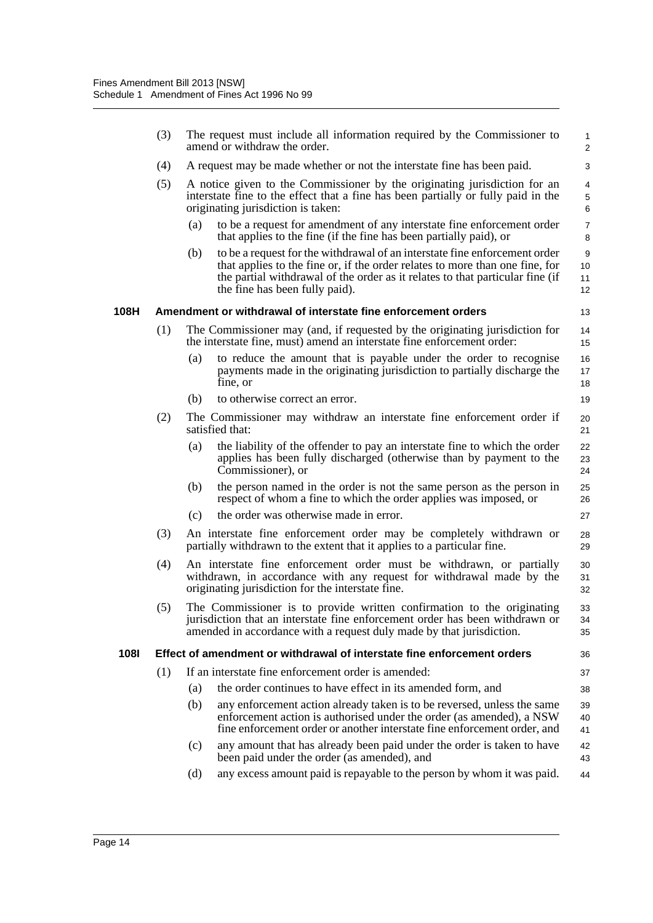|             | (3) | The request must include all information required by the Commissioner to<br>amend or withdraw the order.                                                                                                                                                                             | 1<br>$\overline{c}$ |
|-------------|-----|--------------------------------------------------------------------------------------------------------------------------------------------------------------------------------------------------------------------------------------------------------------------------------------|---------------------|
|             | (4) | A request may be made whether or not the interstate fine has been paid.                                                                                                                                                                                                              | 3                   |
|             | (5) | A notice given to the Commissioner by the originating jurisdiction for an<br>interstate fine to the effect that a fine has been partially or fully paid in the<br>originating jurisdiction is taken:                                                                                 | 4<br>5<br>6         |
|             |     | (a)<br>to be a request for amendment of any interstate fine enforcement order<br>that applies to the fine (if the fine has been partially paid), or                                                                                                                                  | 7<br>8              |
|             |     | to be a request for the withdrawal of an interstate fine enforcement order<br>(b)<br>that applies to the fine or, if the order relates to more than one fine, for<br>the partial withdrawal of the order as it relates to that particular fine (if<br>the fine has been fully paid). | 9<br>10<br>11<br>12 |
| 108H        |     | Amendment or withdrawal of interstate fine enforcement orders                                                                                                                                                                                                                        | 13                  |
|             | (1) | The Commissioner may (and, if requested by the originating jurisdiction for<br>the interstate fine, must) amend an interstate fine enforcement order:                                                                                                                                | 14<br>15            |
|             |     | (a)<br>to reduce the amount that is payable under the order to recognise<br>payments made in the originating jurisdiction to partially discharge the<br>fine, or                                                                                                                     | 16<br>17<br>18      |
|             |     | to otherwise correct an error.<br>(b)                                                                                                                                                                                                                                                | 19                  |
|             | (2) | The Commissioner may withdraw an interstate fine enforcement order if<br>satisfied that:                                                                                                                                                                                             | 20<br>21            |
|             |     | the liability of the offender to pay an interstate fine to which the order<br>(a)<br>applies has been fully discharged (otherwise than by payment to the<br>Commissioner), or                                                                                                        | 22<br>23<br>24      |
|             |     | the person named in the order is not the same person as the person in<br>(b)<br>respect of whom a fine to which the order applies was imposed, or                                                                                                                                    | 25<br>26            |
|             |     | the order was otherwise made in error.<br>(c)                                                                                                                                                                                                                                        | 27                  |
|             | (3) | An interstate fine enforcement order may be completely withdrawn or<br>partially withdrawn to the extent that it applies to a particular fine.                                                                                                                                       | 28<br>29            |
|             | (4) | An interstate fine enforcement order must be withdrawn, or partially<br>withdrawn, in accordance with any request for withdrawal made by the<br>originating jurisdiction for the interstate fine.                                                                                    | 30<br>31<br>32      |
|             | (5) | The Commissioner is to provide written confirmation to the originating<br>jurisdiction that an interstate fine enforcement order has been withdrawn or<br>amended in accordance with a request duly made by that jurisdiction.                                                       | 33<br>34<br>35      |
| <b>1081</b> |     | Effect of amendment or withdrawal of interstate fine enforcement orders                                                                                                                                                                                                              | 36                  |
|             | (1) | If an interstate fine enforcement order is amended:                                                                                                                                                                                                                                  | 37                  |
|             |     | the order continues to have effect in its amended form, and<br>(a)                                                                                                                                                                                                                   | 38                  |
|             |     | any enforcement action already taken is to be reversed, unless the same<br>(b)<br>enforcement action is authorised under the order (as amended), a NSW<br>fine enforcement order or another interstate fine enforcement order, and                                                   | 39<br>40<br>41      |
|             |     | any amount that has already been paid under the order is taken to have<br>(c)<br>been paid under the order (as amended), and                                                                                                                                                         | 42<br>43            |
|             |     | any excess amount paid is repayable to the person by whom it was paid.<br>(d)                                                                                                                                                                                                        | 44                  |
|             |     |                                                                                                                                                                                                                                                                                      |                     |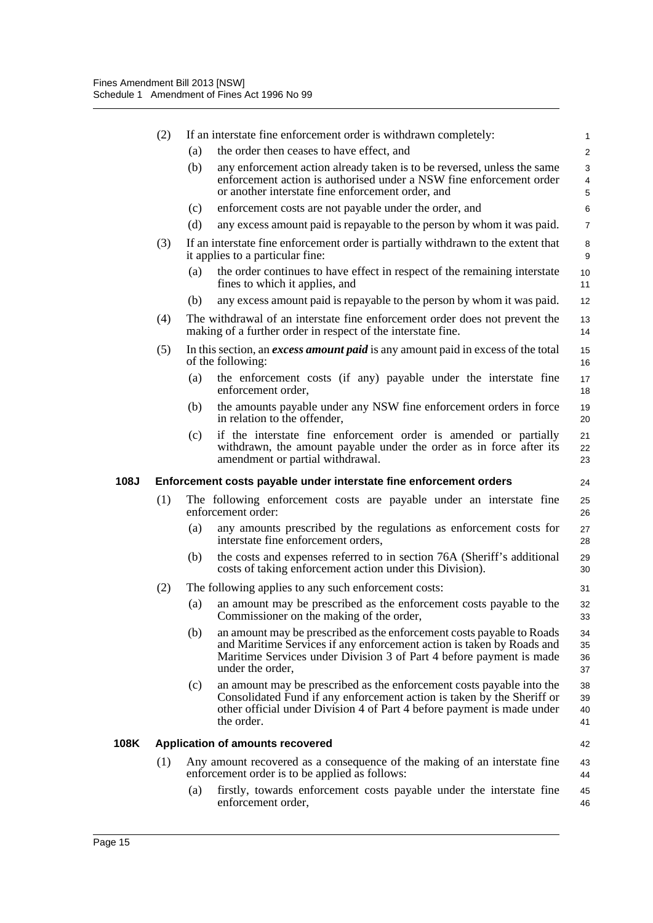|             | (2) |     | If an interstate fine enforcement order is withdrawn completely:                                                                                                                                                                          | 1                                |
|-------------|-----|-----|-------------------------------------------------------------------------------------------------------------------------------------------------------------------------------------------------------------------------------------------|----------------------------------|
|             |     | (a) | the order then ceases to have effect, and                                                                                                                                                                                                 | $\overline{2}$                   |
|             |     | (b) | any enforcement action already taken is to be reversed, unless the same<br>enforcement action is authorised under a NSW fine enforcement order<br>or another interstate fine enforcement order, and                                       | 3<br>4<br>5                      |
|             |     | (c) | enforcement costs are not payable under the order, and                                                                                                                                                                                    | 6                                |
|             |     | (d) | any excess amount paid is repayable to the person by whom it was paid.                                                                                                                                                                    | $\overline{7}$                   |
|             | (3) |     | If an interstate fine enforcement order is partially withdrawn to the extent that<br>it applies to a particular fine:                                                                                                                     | 8<br>9                           |
|             |     | (a) | the order continues to have effect in respect of the remaining interstate<br>fines to which it applies, and                                                                                                                               | 10<br>11                         |
|             |     | (b) | any excess amount paid is repayable to the person by whom it was paid.                                                                                                                                                                    | 12                               |
|             | (4) |     | The withdrawal of an interstate fine enforcement order does not prevent the<br>making of a further order in respect of the interstate fine.                                                                                               | 13<br>14                         |
|             | (5) |     | In this section, an <i>excess amount paid</i> is any amount paid in excess of the total<br>of the following:                                                                                                                              | 15<br>16                         |
|             |     | (a) | the enforcement costs (if any) payable under the interstate fine<br>enforcement order,                                                                                                                                                    | 17<br>18                         |
|             |     | (b) | the amounts payable under any NSW fine enforcement orders in force<br>in relation to the offender,                                                                                                                                        | 19<br>20                         |
|             |     | (c) | if the interstate fine enforcement order is amended or partially<br>withdrawn, the amount payable under the order as in force after its<br>amendment or partial withdrawal.                                                               | 21<br>22<br>23                   |
|             |     |     |                                                                                                                                                                                                                                           |                                  |
| <b>108J</b> |     |     | Enforcement costs payable under interstate fine enforcement orders                                                                                                                                                                        |                                  |
|             | (1) |     | The following enforcement costs are payable under an interstate fine<br>enforcement order:                                                                                                                                                | 24<br>25<br>26                   |
|             |     | (a) | any amounts prescribed by the regulations as enforcement costs for<br>interstate fine enforcement orders,                                                                                                                                 | 27<br>28                         |
|             |     | (b) | the costs and expenses referred to in section 76A (Sheriff's additional<br>costs of taking enforcement action under this Division).                                                                                                       |                                  |
|             | (2) |     | The following applies to any such enforcement costs:                                                                                                                                                                                      | 29<br>30<br>31                   |
|             |     | (a) | an amount may be prescribed as the enforcement costs payable to the<br>Commissioner on the making of the order,                                                                                                                           |                                  |
|             |     | (b) | an amount may be prescribed as the enforcement costs payable to Roads<br>and Maritime Services if any enforcement action is taken by Roads and<br>Maritime Services under Division 3 of Part 4 before payment is made<br>under the order, | 32<br>33<br>34<br>35<br>36<br>37 |
|             |     | (c) | an amount may be prescribed as the enforcement costs payable into the<br>Consolidated Fund if any enforcement action is taken by the Sheriff or<br>other official under Division 4 of Part 4 before payment is made under<br>the order.   | 38<br>39<br>40<br>41             |
| 108K        |     |     | <b>Application of amounts recovered</b>                                                                                                                                                                                                   | 42                               |
|             | (1) |     | Any amount recovered as a consequence of the making of an interstate fine<br>enforcement order is to be applied as follows:                                                                                                               | 43<br>44                         |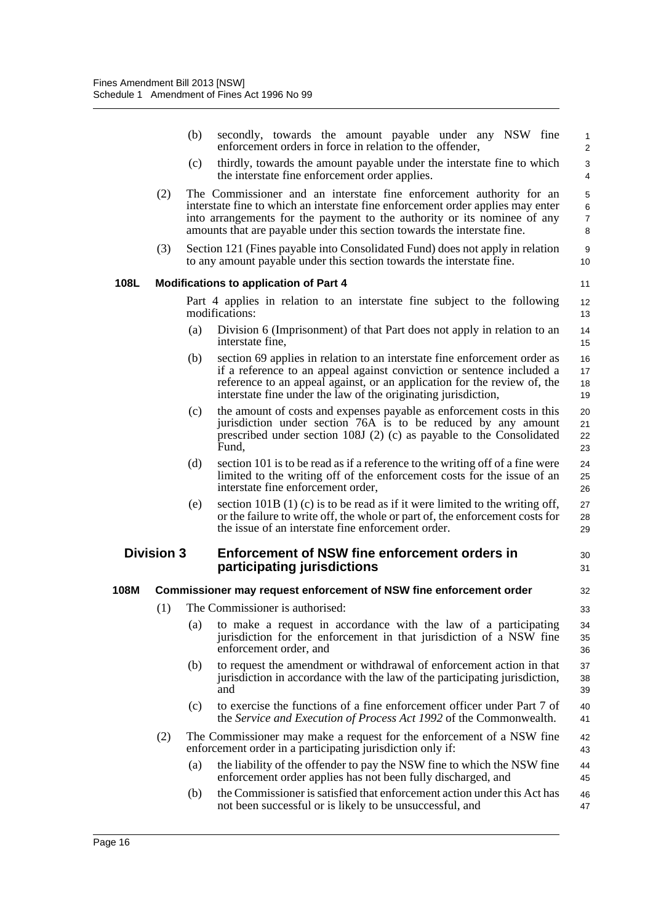|      |                   | (b) | secondly, towards the amount payable under any NSW fine<br>enforcement orders in force in relation to the offender,                                                                                                                                                                                             | 1<br>$\overline{2}$               |
|------|-------------------|-----|-----------------------------------------------------------------------------------------------------------------------------------------------------------------------------------------------------------------------------------------------------------------------------------------------------------------|-----------------------------------|
|      |                   | (c) | thirdly, towards the amount payable under the interstate fine to which<br>the interstate fine enforcement order applies.                                                                                                                                                                                        | 3<br>$\overline{4}$               |
|      | (2)               |     | The Commissioner and an interstate fine enforcement authority for an<br>interstate fine to which an interstate fine enforcement order applies may enter<br>into arrangements for the payment to the authority or its nominee of any<br>amounts that are payable under this section towards the interstate fine. | 5<br>$\,6$<br>$\overline{7}$<br>8 |
|      | (3)               |     | Section 121 (Fines payable into Consolidated Fund) does not apply in relation<br>to any amount payable under this section towards the interstate fine.                                                                                                                                                          | 9<br>10                           |
| 108L |                   |     | <b>Modifications to application of Part 4</b>                                                                                                                                                                                                                                                                   | 11                                |
|      |                   |     | Part 4 applies in relation to an interstate fine subject to the following<br>modifications:                                                                                                                                                                                                                     | 12<br>13                          |
|      |                   | (a) | Division 6 (Imprisonment) of that Part does not apply in relation to an<br>interstate fine,                                                                                                                                                                                                                     | 14<br>15                          |
|      |                   | (b) | section 69 applies in relation to an interstate fine enforcement order as<br>if a reference to an appeal against conviction or sentence included a<br>reference to an appeal against, or an application for the review of, the<br>interstate fine under the law of the originating jurisdiction,                | 16<br>17<br>18<br>19              |
|      |                   | (c) | the amount of costs and expenses payable as enforcement costs in this<br>jurisdiction under section 76A is to be reduced by any amount<br>prescribed under section 108J (2) (c) as payable to the Consolidated<br>Fund,                                                                                         | 20<br>21<br>22<br>23              |
|      |                   | (d) | section 101 is to be read as if a reference to the writing off of a fine were<br>limited to the writing off of the enforcement costs for the issue of an<br>interstate fine enforcement order,                                                                                                                  | 24<br>25<br>26                    |
|      |                   | (e) | section 101B $(1)$ (c) is to be read as if it were limited to the writing off,<br>or the failure to write off, the whole or part of, the enforcement costs for<br>the issue of an interstate fine enforcement order.                                                                                            | 27<br>28<br>29                    |
|      | <b>Division 3</b> |     | <b>Enforcement of NSW fine enforcement orders in</b><br>participating jurisdictions                                                                                                                                                                                                                             | 30<br>31                          |
| 108M |                   |     | Commissioner may request enforcement of NSW fine enforcement order                                                                                                                                                                                                                                              | 32                                |
|      | (1)               |     | The Commissioner is authorised:                                                                                                                                                                                                                                                                                 | 33                                |
|      |                   | (a) | to make a request in accordance with the law of a participating<br>jurisdiction for the enforcement in that jurisdiction of a NSW fine<br>enforcement order, and                                                                                                                                                | 34<br>35<br>36                    |
|      |                   | (b) | to request the amendment or withdrawal of enforcement action in that<br>jurisdiction in accordance with the law of the participating jurisdiction,<br>and                                                                                                                                                       | 37<br>38<br>39                    |
|      |                   | (c) | to exercise the functions of a fine enforcement officer under Part 7 of<br>the Service and Execution of Process Act 1992 of the Commonwealth.                                                                                                                                                                   | 40<br>41                          |
|      | (2)               |     | The Commissioner may make a request for the enforcement of a NSW fine<br>enforcement order in a participating jurisdiction only if:                                                                                                                                                                             | 42<br>43                          |
|      |                   | (a) | the liability of the offender to pay the NSW fine to which the NSW fine<br>enforcement order applies has not been fully discharged, and                                                                                                                                                                         | 44<br>45                          |
|      |                   | (b) | the Commissioner is satisfied that enforcement action under this Act has<br>not been successful or is likely to be unsuccessful, and                                                                                                                                                                            | 46<br>47                          |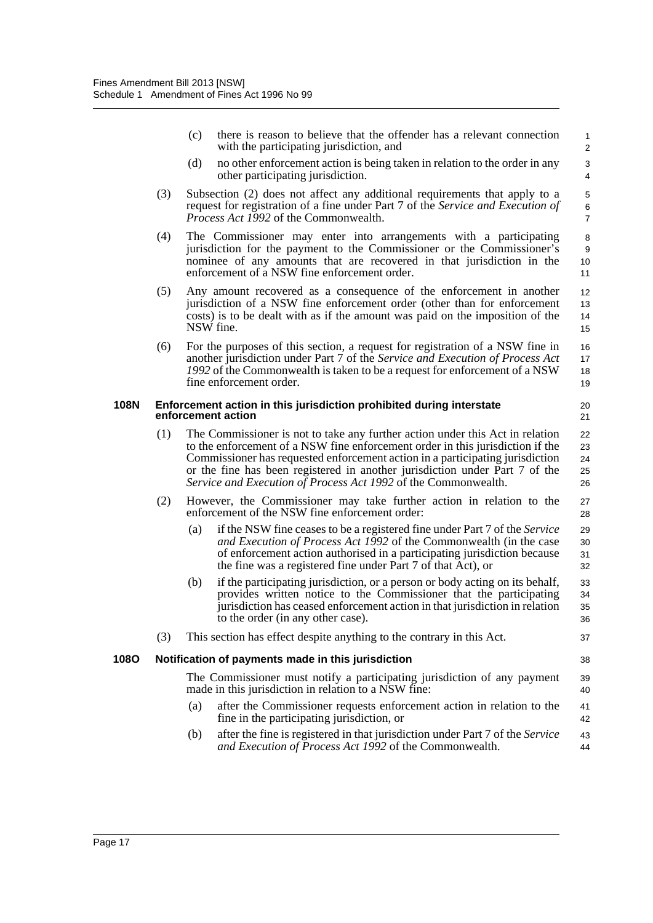|             |     | (c) | there is reason to believe that the offender has a relevant connection<br>with the participating jurisdiction, and                                                                                                                                                                                                                                                                                | $\mathbf{1}$<br>$\overline{2}$ |
|-------------|-----|-----|---------------------------------------------------------------------------------------------------------------------------------------------------------------------------------------------------------------------------------------------------------------------------------------------------------------------------------------------------------------------------------------------------|--------------------------------|
|             |     | (d) | no other enforcement action is being taken in relation to the order in any<br>other participating jurisdiction.                                                                                                                                                                                                                                                                                   | 3<br>4                         |
|             | (3) |     | Subsection (2) does not affect any additional requirements that apply to a<br>request for registration of a fine under Part 7 of the Service and Execution of<br><i>Process Act 1992</i> of the Commonwealth.                                                                                                                                                                                     | 5<br>$\,6$<br>$\overline{7}$   |
|             | (4) |     | The Commissioner may enter into arrangements with a participating<br>jurisdiction for the payment to the Commissioner or the Commissioner's<br>nominee of any amounts that are recovered in that jurisdiction in the<br>enforcement of a NSW fine enforcement order.                                                                                                                              | 8<br>9<br>10<br>11             |
|             | (5) |     | Any amount recovered as a consequence of the enforcement in another<br>jurisdiction of a NSW fine enforcement order (other than for enforcement<br>costs) is to be dealt with as if the amount was paid on the imposition of the<br>NSW fine.                                                                                                                                                     | 12<br>13<br>14<br>15           |
|             | (6) |     | For the purposes of this section, a request for registration of a NSW fine in<br>another jurisdiction under Part 7 of the Service and Execution of Process Act<br>1992 of the Commonwealth is taken to be a request for enforcement of a NSW<br>fine enforcement order.                                                                                                                           | 16<br>17<br>18<br>19           |
| <b>108N</b> |     |     | Enforcement action in this jurisdiction prohibited during interstate<br>enforcement action                                                                                                                                                                                                                                                                                                        | 20<br>21                       |
|             | (1) |     | The Commissioner is not to take any further action under this Act in relation<br>to the enforcement of a NSW fine enforcement order in this jurisdiction if the<br>Commissioner has requested enforcement action in a participating jurisdiction<br>or the fine has been registered in another jurisdiction under Part 7 of the<br>Service and Execution of Process Act 1992 of the Commonwealth. | 22<br>23<br>24<br>25<br>26     |
|             | (2) |     | However, the Commissioner may take further action in relation to the<br>enforcement of the NSW fine enforcement order:                                                                                                                                                                                                                                                                            | 27<br>28                       |
|             |     | (a) | if the NSW fine ceases to be a registered fine under Part 7 of the Service<br>and Execution of Process Act 1992 of the Commonwealth (in the case<br>of enforcement action authorised in a participating jurisdiction because<br>the fine was a registered fine under Part 7 of that Act), or                                                                                                      | 29<br>30<br>31<br>32           |
|             |     | (b) | if the participating jurisdiction, or a person or body acting on its behalf,<br>provides written notice to the Commissioner that the participating<br>jurisdiction has ceased enforcement action in that jurisdiction in relation<br>to the order (in any other case).                                                                                                                            | 33<br>34<br>35<br>36           |
|             | (3) |     | This section has effect despite anything to the contrary in this Act.                                                                                                                                                                                                                                                                                                                             | 37                             |
| 1080        |     |     | Notification of payments made in this jurisdiction                                                                                                                                                                                                                                                                                                                                                | 38                             |
|             |     |     | The Commissioner must notify a participating jurisdiction of any payment<br>made in this jurisdiction in relation to a NSW fine:                                                                                                                                                                                                                                                                  | 39<br>40                       |
|             |     | (a) | after the Commissioner requests enforcement action in relation to the<br>fine in the participating jurisdiction, or                                                                                                                                                                                                                                                                               | 41<br>42                       |
|             |     | (b) | after the fine is registered in that jurisdiction under Part 7 of the Service<br>and Execution of Process Act 1992 of the Commonwealth.                                                                                                                                                                                                                                                           | 43<br>44                       |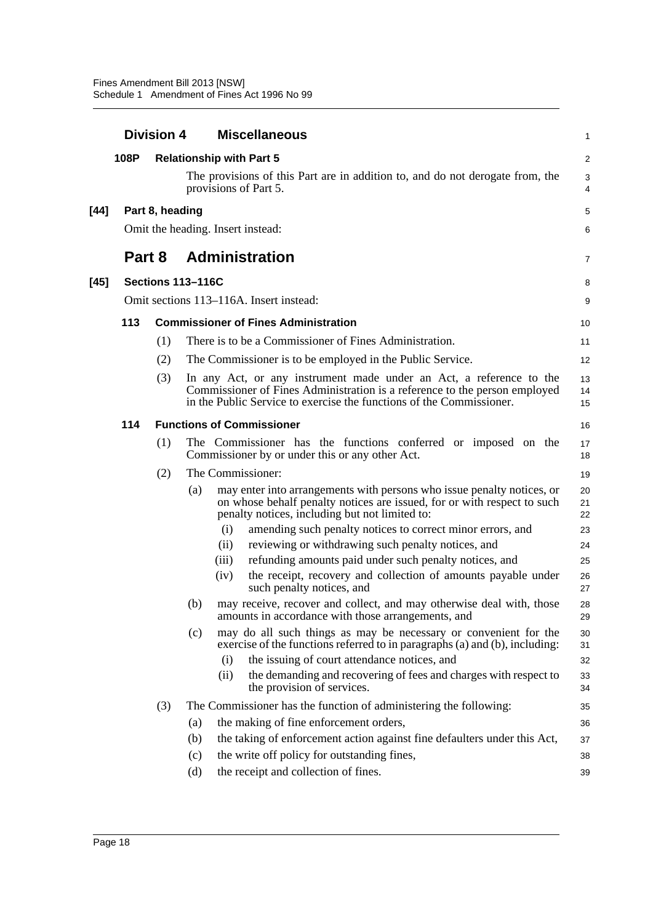|      |        | <b>Division 4</b> | <b>Miscellaneous</b>                                                                                                                                                                                                                                                            | 1                    |
|------|--------|-------------------|---------------------------------------------------------------------------------------------------------------------------------------------------------------------------------------------------------------------------------------------------------------------------------|----------------------|
|      | 108P   |                   | <b>Relationship with Part 5</b>                                                                                                                                                                                                                                                 | $\overline{c}$       |
|      |        |                   | The provisions of this Part are in addition to, and do not derogate from, the<br>provisions of Part 5.                                                                                                                                                                          | 3<br>$\overline{4}$  |
| [44] |        | Part 8, heading   |                                                                                                                                                                                                                                                                                 | 5                    |
|      |        |                   | Omit the heading. Insert instead:                                                                                                                                                                                                                                               | 6                    |
|      | Part 8 |                   | <b>Administration</b>                                                                                                                                                                                                                                                           | 7                    |
| [45] |        |                   | <b>Sections 113-116C</b>                                                                                                                                                                                                                                                        | 8                    |
|      |        |                   | Omit sections 113–116A. Insert instead:                                                                                                                                                                                                                                         | 9                    |
|      | 113    |                   | <b>Commissioner of Fines Administration</b>                                                                                                                                                                                                                                     | 10                   |
|      |        | (1)               | There is to be a Commissioner of Fines Administration.                                                                                                                                                                                                                          | 11                   |
|      |        | (2)               | The Commissioner is to be employed in the Public Service.                                                                                                                                                                                                                       | 12                   |
|      |        | (3)               | In any Act, or any instrument made under an Act, a reference to the<br>Commissioner of Fines Administration is a reference to the person employed<br>in the Public Service to exercise the functions of the Commissioner.                                                       | 13<br>14<br>15       |
|      | 114    |                   | <b>Functions of Commissioner</b>                                                                                                                                                                                                                                                | 16                   |
|      |        | (1)               | The Commissioner has the functions conferred or imposed on the<br>Commissioner by or under this or any other Act.                                                                                                                                                               | 17<br>18             |
|      |        | (2)               | The Commissioner:                                                                                                                                                                                                                                                               | 19                   |
|      |        |                   | (a)<br>may enter into arrangements with persons who issue penalty notices, or<br>on whose behalf penalty notices are issued, for or with respect to such<br>penalty notices, including but not limited to:<br>(i)<br>amending such penalty notices to correct minor errors, and | 20<br>21<br>22<br>23 |
|      |        |                   | reviewing or withdrawing such penalty notices, and<br>(ii)                                                                                                                                                                                                                      | 24                   |
|      |        |                   | refunding amounts paid under such penalty notices, and<br>(iii)                                                                                                                                                                                                                 | 25                   |
|      |        |                   | the receipt, recovery and collection of amounts payable under<br>(iv)<br>such penalty notices, and                                                                                                                                                                              | 26<br>27             |
|      |        |                   | may receive, recover and collect, and may otherwise deal with, those<br>(b)<br>amounts in accordance with those arrangements, and                                                                                                                                               | 28<br>29             |
|      |        |                   | may do all such things as may be necessary or convenient for the<br>(c)<br>exercise of the functions referred to in paragraphs (a) and (b), including:                                                                                                                          | 30<br>31             |
|      |        |                   | the issuing of court attendance notices, and<br>(i)                                                                                                                                                                                                                             | 32                   |
|      |        |                   | the demanding and recovering of fees and charges with respect to<br>(ii)<br>the provision of services.                                                                                                                                                                          | 33<br>34             |
|      |        | (3)               | The Commissioner has the function of administering the following:                                                                                                                                                                                                               | 35                   |
|      |        |                   | the making of fine enforcement orders,<br>(a)                                                                                                                                                                                                                                   | 36                   |
|      |        |                   | the taking of enforcement action against fine defaulters under this Act,<br>(b)<br>the write off policy for outstanding fines,<br>(c)                                                                                                                                           | 37                   |
|      |        |                   | the receipt and collection of fines.<br>(d)                                                                                                                                                                                                                                     | 38<br>39             |
|      |        |                   |                                                                                                                                                                                                                                                                                 |                      |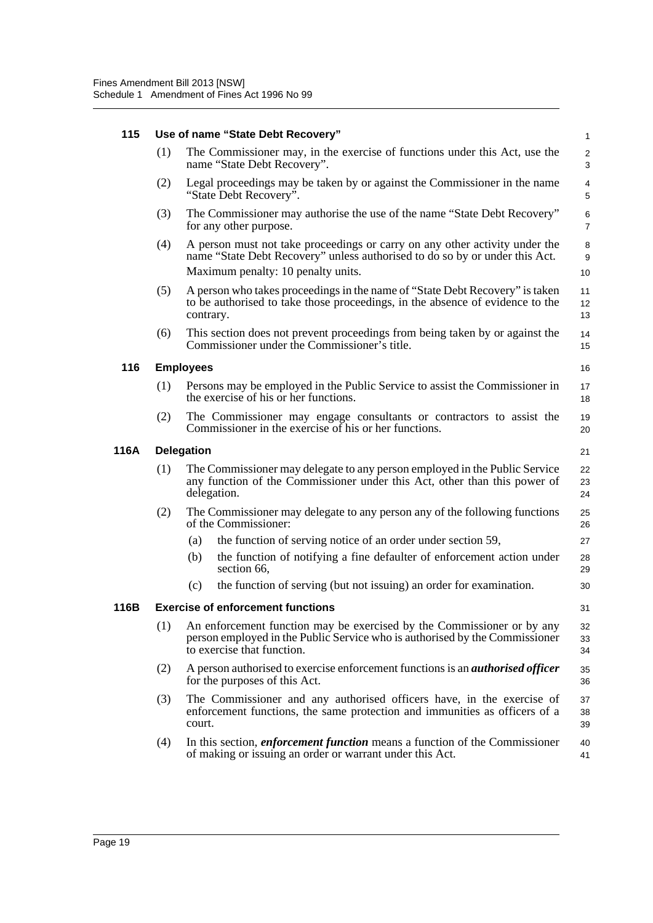### **115 Use of name "State Debt Recovery"**

|                                                                                                                                                                                     | $\mathbf{1}$                                                                                                                                                                                                                                                                                                                                                                                                                                                                                                                                                                                                                                                                                                                                                                                                                                                                                                                                                                                                                                                                                                                                    |
|-------------------------------------------------------------------------------------------------------------------------------------------------------------------------------------|-------------------------------------------------------------------------------------------------------------------------------------------------------------------------------------------------------------------------------------------------------------------------------------------------------------------------------------------------------------------------------------------------------------------------------------------------------------------------------------------------------------------------------------------------------------------------------------------------------------------------------------------------------------------------------------------------------------------------------------------------------------------------------------------------------------------------------------------------------------------------------------------------------------------------------------------------------------------------------------------------------------------------------------------------------------------------------------------------------------------------------------------------|
| The Commissioner may, in the exercise of functions under this Act, use the<br>name "State Debt Recovery".                                                                           | $\overline{c}$<br>3                                                                                                                                                                                                                                                                                                                                                                                                                                                                                                                                                                                                                                                                                                                                                                                                                                                                                                                                                                                                                                                                                                                             |
| Legal proceedings may be taken by or against the Commissioner in the name                                                                                                           | $\overline{4}$<br>5                                                                                                                                                                                                                                                                                                                                                                                                                                                                                                                                                                                                                                                                                                                                                                                                                                                                                                                                                                                                                                                                                                                             |
|                                                                                                                                                                                     | 6<br>$\overline{7}$                                                                                                                                                                                                                                                                                                                                                                                                                                                                                                                                                                                                                                                                                                                                                                                                                                                                                                                                                                                                                                                                                                                             |
|                                                                                                                                                                                     | 8<br>9                                                                                                                                                                                                                                                                                                                                                                                                                                                                                                                                                                                                                                                                                                                                                                                                                                                                                                                                                                                                                                                                                                                                          |
|                                                                                                                                                                                     | 10                                                                                                                                                                                                                                                                                                                                                                                                                                                                                                                                                                                                                                                                                                                                                                                                                                                                                                                                                                                                                                                                                                                                              |
|                                                                                                                                                                                     | 11<br>12<br>13                                                                                                                                                                                                                                                                                                                                                                                                                                                                                                                                                                                                                                                                                                                                                                                                                                                                                                                                                                                                                                                                                                                                  |
|                                                                                                                                                                                     | 14<br>15                                                                                                                                                                                                                                                                                                                                                                                                                                                                                                                                                                                                                                                                                                                                                                                                                                                                                                                                                                                                                                                                                                                                        |
|                                                                                                                                                                                     | 16                                                                                                                                                                                                                                                                                                                                                                                                                                                                                                                                                                                                                                                                                                                                                                                                                                                                                                                                                                                                                                                                                                                                              |
|                                                                                                                                                                                     | 17<br>18                                                                                                                                                                                                                                                                                                                                                                                                                                                                                                                                                                                                                                                                                                                                                                                                                                                                                                                                                                                                                                                                                                                                        |
|                                                                                                                                                                                     | 19<br>20                                                                                                                                                                                                                                                                                                                                                                                                                                                                                                                                                                                                                                                                                                                                                                                                                                                                                                                                                                                                                                                                                                                                        |
|                                                                                                                                                                                     | 21                                                                                                                                                                                                                                                                                                                                                                                                                                                                                                                                                                                                                                                                                                                                                                                                                                                                                                                                                                                                                                                                                                                                              |
|                                                                                                                                                                                     | 22<br>23<br>24                                                                                                                                                                                                                                                                                                                                                                                                                                                                                                                                                                                                                                                                                                                                                                                                                                                                                                                                                                                                                                                                                                                                  |
|                                                                                                                                                                                     | 25<br>26                                                                                                                                                                                                                                                                                                                                                                                                                                                                                                                                                                                                                                                                                                                                                                                                                                                                                                                                                                                                                                                                                                                                        |
|                                                                                                                                                                                     | 27                                                                                                                                                                                                                                                                                                                                                                                                                                                                                                                                                                                                                                                                                                                                                                                                                                                                                                                                                                                                                                                                                                                                              |
| the function of notifying a fine defaulter of enforcement action under                                                                                                              | 28                                                                                                                                                                                                                                                                                                                                                                                                                                                                                                                                                                                                                                                                                                                                                                                                                                                                                                                                                                                                                                                                                                                                              |
|                                                                                                                                                                                     | 29                                                                                                                                                                                                                                                                                                                                                                                                                                                                                                                                                                                                                                                                                                                                                                                                                                                                                                                                                                                                                                                                                                                                              |
| the function of serving (but not issuing) an order for examination.                                                                                                                 | 30                                                                                                                                                                                                                                                                                                                                                                                                                                                                                                                                                                                                                                                                                                                                                                                                                                                                                                                                                                                                                                                                                                                                              |
| <b>Exercise of enforcement functions</b>                                                                                                                                            | 31                                                                                                                                                                                                                                                                                                                                                                                                                                                                                                                                                                                                                                                                                                                                                                                                                                                                                                                                                                                                                                                                                                                                              |
| An enforcement function may be exercised by the Commissioner or by any<br>person employed in the Public Service who is authorised by the Commissioner<br>to exercise that function. | 32<br>33<br>34                                                                                                                                                                                                                                                                                                                                                                                                                                                                                                                                                                                                                                                                                                                                                                                                                                                                                                                                                                                                                                                                                                                                  |
| A person authorised to exercise enforcement functions is an <i>authorised officer</i><br>for the purposes of this Act.                                                              | 35<br>36                                                                                                                                                                                                                                                                                                                                                                                                                                                                                                                                                                                                                                                                                                                                                                                                                                                                                                                                                                                                                                                                                                                                        |
| The Commissioner and any authorised officers have, in the exercise of<br>enforcement functions, the same protection and immunities as officers of a                                 | 37<br>38<br>39                                                                                                                                                                                                                                                                                                                                                                                                                                                                                                                                                                                                                                                                                                                                                                                                                                                                                                                                                                                                                                                                                                                                  |
| "State Debt Recovery".                                                                                                                                                              | The Commissioner may authorise the use of the name "State Debt Recovery"<br>A person must not take proceedings or carry on any other activity under the<br>name "State Debt Recovery" unless authorised to do so by or under this Act.<br>Maximum penalty: 10 penalty units.<br>A person who takes proceedings in the name of "State Debt Recovery" is taken<br>to be authorised to take those proceedings, in the absence of evidence to the<br>This section does not prevent proceedings from being taken by or against the<br>Commissioner under the Commissioner's title.<br>Persons may be employed in the Public Service to assist the Commissioner in<br>the exercise of his or her functions.<br>The Commissioner may engage consultants or contractors to assist the<br>Commissioner in the exercise of his or her functions.<br>The Commissioner may delegate to any person employed in the Public Service<br>any function of the Commissioner under this Act, other than this power of<br>The Commissioner may delegate to any person any of the following functions<br>the function of serving notice of an order under section 59, |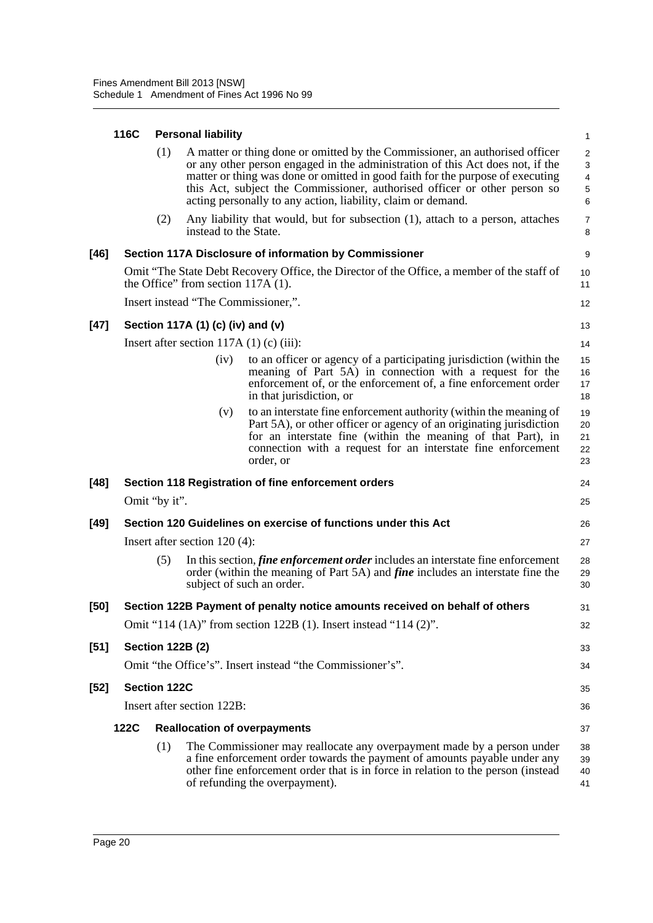### **116C Personal liability**

|        | 116C        |                         | <b>Personal liability</b>                 |                                                                                                                                                                                                                                                                                                                                                                                               | $\mathbf{1}$                                                       |
|--------|-------------|-------------------------|-------------------------------------------|-----------------------------------------------------------------------------------------------------------------------------------------------------------------------------------------------------------------------------------------------------------------------------------------------------------------------------------------------------------------------------------------------|--------------------------------------------------------------------|
|        |             | (1)                     |                                           | A matter or thing done or omitted by the Commissioner, an authorised officer<br>or any other person engaged in the administration of this Act does not, if the<br>matter or thing was done or omitted in good faith for the purpose of executing<br>this Act, subject the Commissioner, authorised officer or other person so<br>acting personally to any action, liability, claim or demand. | $\overline{c}$<br>3<br>$\overline{\mathbf{4}}$<br>$\,$ 5 $\,$<br>6 |
|        |             | (2)                     | instead to the State.                     | Any liability that would, but for subsection (1), attach to a person, attaches                                                                                                                                                                                                                                                                                                                | $\overline{7}$<br>8                                                |
| $[46]$ |             |                         |                                           | Section 117A Disclosure of information by Commissioner                                                                                                                                                                                                                                                                                                                                        | 9                                                                  |
|        |             |                         | the Office" from section $117A(1)$ .      | Omit "The State Debt Recovery Office, the Director of the Office, a member of the staff of                                                                                                                                                                                                                                                                                                    | 10<br>11                                                           |
|        |             |                         | Insert instead "The Commissioner,".       |                                                                                                                                                                                                                                                                                                                                                                                               | 12                                                                 |
| $[47]$ |             |                         | Section 117A (1) (c) (iv) and (v)         |                                                                                                                                                                                                                                                                                                                                                                                               | 13                                                                 |
|        |             |                         | Insert after section $117A(1)$ (c) (iii): |                                                                                                                                                                                                                                                                                                                                                                                               | 14                                                                 |
|        |             |                         | (iv)                                      | to an officer or agency of a participating jurisdiction (within the<br>meaning of Part 5A) in connection with a request for the<br>enforcement of, or the enforcement of, a fine enforcement order<br>in that jurisdiction, or                                                                                                                                                                | 15<br>16<br>17<br>18                                               |
|        |             |                         | (v)                                       | to an interstate fine enforcement authority (within the meaning of<br>Part 5A), or other officer or agency of an originating jurisdiction<br>for an interstate fine (within the meaning of that Part), in<br>connection with a request for an interstate fine enforcement<br>order, or                                                                                                        | 19<br>20<br>21<br>22<br>23                                         |
| $[48]$ |             |                         |                                           | Section 118 Registration of fine enforcement orders                                                                                                                                                                                                                                                                                                                                           | 24                                                                 |
|        |             | Omit "by it".           |                                           |                                                                                                                                                                                                                                                                                                                                                                                               | 25                                                                 |
| $[49]$ |             |                         |                                           | Section 120 Guidelines on exercise of functions under this Act                                                                                                                                                                                                                                                                                                                                | 26                                                                 |
|        |             |                         | Insert after section $120(4)$ :           |                                                                                                                                                                                                                                                                                                                                                                                               | 27                                                                 |
|        |             | (5)                     |                                           | In this section, <i>fine enforcement order</i> includes an interstate fine enforcement<br>order (within the meaning of Part 5A) and <i>fine</i> includes an interstate fine the<br>subject of such an order.                                                                                                                                                                                  | 28<br>29<br>30                                                     |
| $[50]$ |             |                         |                                           | Section 122B Payment of penalty notice amounts received on behalf of others                                                                                                                                                                                                                                                                                                                   | 31                                                                 |
|        |             |                         |                                           | Omit "114 (1A)" from section 122B (1). Insert instead "114 (2)".                                                                                                                                                                                                                                                                                                                              | 32                                                                 |
| $[51]$ |             | <b>Section 122B (2)</b> |                                           |                                                                                                                                                                                                                                                                                                                                                                                               | 33                                                                 |
|        |             |                         |                                           | Omit "the Office's". Insert instead "the Commissioner's".                                                                                                                                                                                                                                                                                                                                     | 34                                                                 |
| $[52]$ |             | <b>Section 122C</b>     |                                           |                                                                                                                                                                                                                                                                                                                                                                                               | 35                                                                 |
|        |             |                         | Insert after section 122B:                |                                                                                                                                                                                                                                                                                                                                                                                               | 36                                                                 |
|        | <b>122C</b> |                         |                                           | <b>Reallocation of overpayments</b>                                                                                                                                                                                                                                                                                                                                                           | 37                                                                 |
|        |             | (1)                     |                                           | The Commissioner may reallocate any overpayment made by a person under<br>a fine enforcement order towards the payment of amounts payable under any<br>other fine enforcement order that is in force in relation to the person (instead<br>of refunding the overpayment).                                                                                                                     | 38<br>39<br>40<br>41                                               |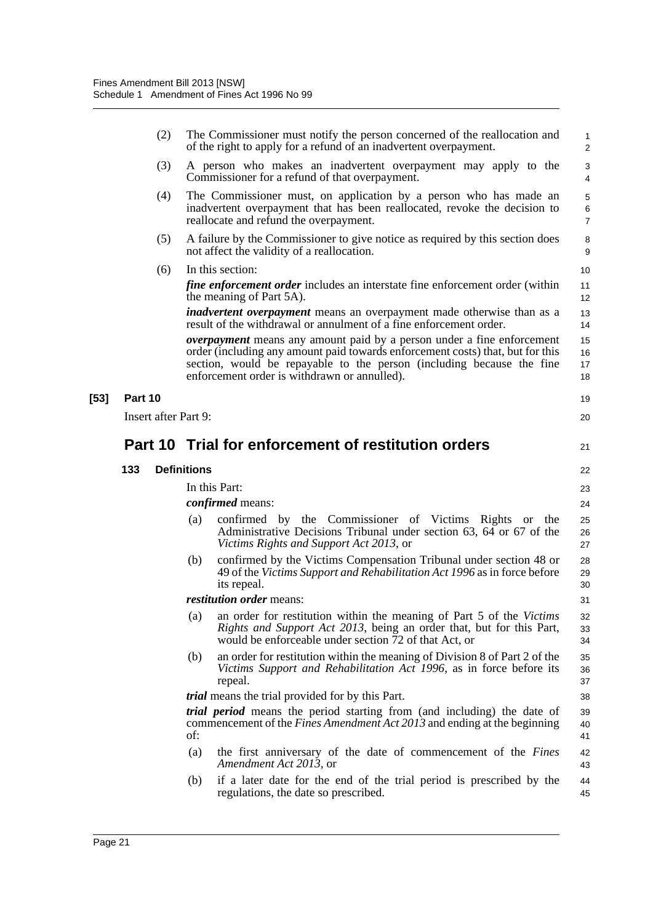|        |         | (2)                         | The Commissioner must notify the person concerned of the reallocation and<br>of the right to apply for a refund of an inadvertent overpayment.                                                                                                                                                  | 1<br>$\overline{\mathbf{c}}$ |
|--------|---------|-----------------------------|-------------------------------------------------------------------------------------------------------------------------------------------------------------------------------------------------------------------------------------------------------------------------------------------------|------------------------------|
|        |         | (3)                         | A person who makes an inadvertent overpayment may apply to the<br>Commissioner for a refund of that overpayment.                                                                                                                                                                                | 3<br>4                       |
|        |         | (4)                         | The Commissioner must, on application by a person who has made an<br>inadvertent overpayment that has been reallocated, revoke the decision to<br>reallocate and refund the overpayment.                                                                                                        | 5<br>6<br>7                  |
|        |         | (5)                         | A failure by the Commissioner to give notice as required by this section does<br>not affect the validity of a reallocation.                                                                                                                                                                     | 8<br>9                       |
|        |         | (6)                         | In this section:                                                                                                                                                                                                                                                                                | 10                           |
|        |         |                             | <i>fine enforcement order</i> includes an interstate fine enforcement order (within<br>the meaning of Part 5A).                                                                                                                                                                                 | 11<br>12                     |
|        |         |                             | <i>inadvertent overpayment</i> means an overpayment made otherwise than as a<br>result of the withdrawal or annulment of a fine enforcement order.                                                                                                                                              | 13<br>14                     |
|        |         |                             | <b><i>overpayment</i></b> means any amount paid by a person under a fine enforcement<br>order (including any amount paid towards enforcement costs) that, but for this<br>section, would be repayable to the person (including because the fine<br>enforcement order is withdrawn or annulled). | 15<br>16<br>17<br>18         |
| $[53]$ | Part 10 |                             |                                                                                                                                                                                                                                                                                                 | 19                           |
|        |         | <b>Insert after Part 9:</b> |                                                                                                                                                                                                                                                                                                 | 20                           |
|        |         |                             | Part 10 Trial for enforcement of restitution orders                                                                                                                                                                                                                                             | 21                           |
|        | 133     |                             | <b>Definitions</b>                                                                                                                                                                                                                                                                              | 22                           |
|        |         |                             | In this Part:                                                                                                                                                                                                                                                                                   | 23                           |
|        |         |                             | <i>confirmed</i> means:                                                                                                                                                                                                                                                                         | 24                           |
|        |         |                             | confirmed by the Commissioner of Victims Rights or the<br>(a)<br>Administrative Decisions Tribunal under section 63, 64 or 67 of the<br>Victims Rights and Support Act 2013, or                                                                                                                 | 25<br>26<br>27               |
|        |         |                             | confirmed by the Victims Compensation Tribunal under section 48 or<br>(b)<br>49 of the Victims Support and Rehabilitation Act 1996 as in force before<br>its repeal.                                                                                                                            | 28<br>29<br>30               |
|        |         |                             | restitution order means:                                                                                                                                                                                                                                                                        | 31                           |
|        |         |                             | (a) an order for restitution within the meaning of Part 5 of the Victims<br>Rights and Support Act 2013, being an order that, but for this Part,<br>would be enforceable under section 72 of that Act, or                                                                                       | 32<br>33<br>34               |
|        |         |                             | an order for restitution within the meaning of Division 8 of Part 2 of the<br>(b)<br>Victims Support and Rehabilitation Act 1996, as in force before its<br>repeal.                                                                                                                             | 35<br>36<br>37               |
|        |         |                             | <i>trial</i> means the trial provided for by this Part.                                                                                                                                                                                                                                         | 38                           |
|        |         |                             | trial period means the period starting from (and including) the date of<br>commencement of the <i>Fines Amendment Act 2013</i> and ending at the beginning<br>of:                                                                                                                               | 39<br>40<br>41               |
|        |         |                             | the first anniversary of the date of commencement of the Fines<br>(a)<br>Amendment Act 2013, or                                                                                                                                                                                                 | 42<br>43                     |
|        |         |                             | if a later date for the end of the trial period is prescribed by the<br>(b)                                                                                                                                                                                                                     | 44                           |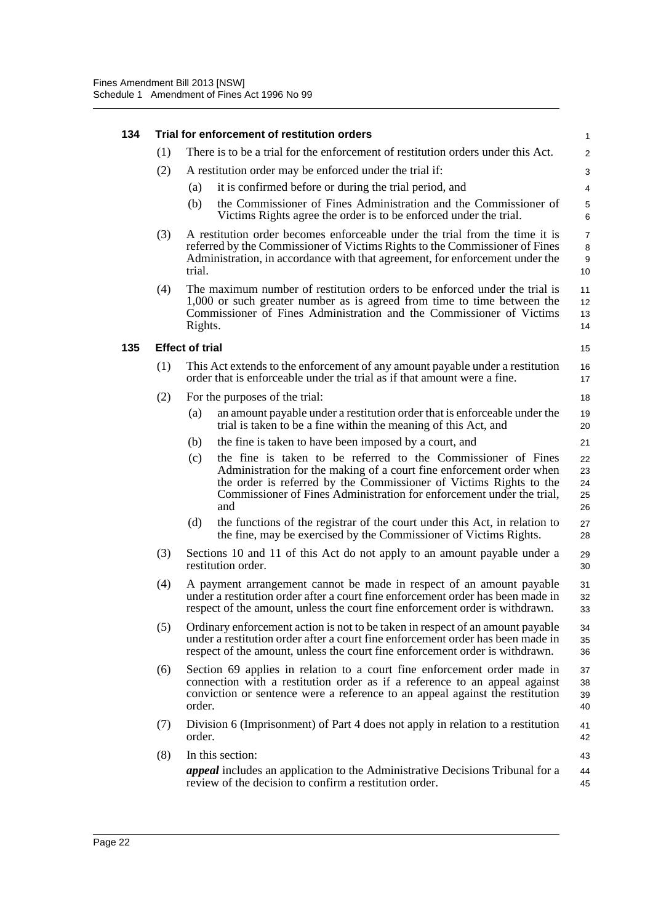| 134 |     |                        | Trial for enforcement of restitution orders                                                                                                                                                                                                                                                 | $\mathbf{1}$                   |
|-----|-----|------------------------|---------------------------------------------------------------------------------------------------------------------------------------------------------------------------------------------------------------------------------------------------------------------------------------------|--------------------------------|
|     | (1) |                        | There is to be a trial for the enforcement of restitution orders under this Act.                                                                                                                                                                                                            | $\overline{\mathbf{c}}$        |
|     | (2) |                        | A restitution order may be enforced under the trial if:                                                                                                                                                                                                                                     | 3                              |
|     |     | (a)                    | it is confirmed before or during the trial period, and                                                                                                                                                                                                                                      | $\overline{4}$                 |
|     |     | (b)                    | the Commissioner of Fines Administration and the Commissioner of<br>Victims Rights agree the order is to be enforced under the trial.                                                                                                                                                       | 5<br>6                         |
|     | (3) | trial.                 | A restitution order becomes enforceable under the trial from the time it is<br>referred by the Commissioner of Victims Rights to the Commissioner of Fines<br>Administration, in accordance with that agreement, for enforcement under the                                                  | $\overline{7}$<br>8<br>9<br>10 |
|     | (4) | Rights.                | The maximum number of restitution orders to be enforced under the trial is<br>1,000 or such greater number as is agreed from time to time between the<br>Commissioner of Fines Administration and the Commissioner of Victims                                                               | 11<br>12<br>13<br>14           |
| 135 |     | <b>Effect of trial</b> |                                                                                                                                                                                                                                                                                             | 15                             |
|     | (1) |                        | This Act extends to the enforcement of any amount payable under a restitution<br>order that is enforceable under the trial as if that amount were a fine.                                                                                                                                   | 16<br>17                       |
|     | (2) |                        | For the purposes of the trial:                                                                                                                                                                                                                                                              | 18                             |
|     |     | (a)                    | an amount payable under a restitution order that is enforceable under the<br>trial is taken to be a fine within the meaning of this Act, and                                                                                                                                                | 19<br>20                       |
|     |     | (b)                    | the fine is taken to have been imposed by a court, and                                                                                                                                                                                                                                      | 21                             |
|     |     | (c)                    | the fine is taken to be referred to the Commissioner of Fines<br>Administration for the making of a court fine enforcement order when<br>the order is referred by the Commissioner of Victims Rights to the<br>Commissioner of Fines Administration for enforcement under the trial,<br>and | 22<br>23<br>24<br>25<br>26     |
|     |     | (d)                    | the functions of the registrar of the court under this Act, in relation to<br>the fine, may be exercised by the Commissioner of Victims Rights.                                                                                                                                             | 27<br>28                       |
|     | (3) |                        | Sections 10 and 11 of this Act do not apply to an amount payable under a<br>restitution order.                                                                                                                                                                                              | 29<br>30                       |
|     | (4) |                        | A payment arrangement cannot be made in respect of an amount payable<br>under a restitution order after a court fine enforcement order has been made in<br>respect of the amount, unless the court fine enforcement order is withdrawn.                                                     | 31<br>32<br>33                 |
|     | (5) |                        | Ordinary enforcement action is not to be taken in respect of an amount payable<br>under a restitution order after a court fine enforcement order has been made in<br>respect of the amount, unless the court fine enforcement order is withdrawn.                                           | 34<br>35<br>36                 |
|     | (6) | order.                 | Section 69 applies in relation to a court fine enforcement order made in<br>connection with a restitution order as if a reference to an appeal against<br>conviction or sentence were a reference to an appeal against the restitution                                                      | 37<br>38<br>39<br>40           |
|     | (7) | order.                 | Division 6 (Imprisonment) of Part 4 does not apply in relation to a restitution                                                                                                                                                                                                             | 41<br>42                       |
|     | (8) |                        | In this section:                                                                                                                                                                                                                                                                            | 43                             |
|     |     |                        | <i>appeal</i> includes an application to the Administrative Decisions Tribunal for a<br>review of the decision to confirm a restitution order.                                                                                                                                              | 44<br>45                       |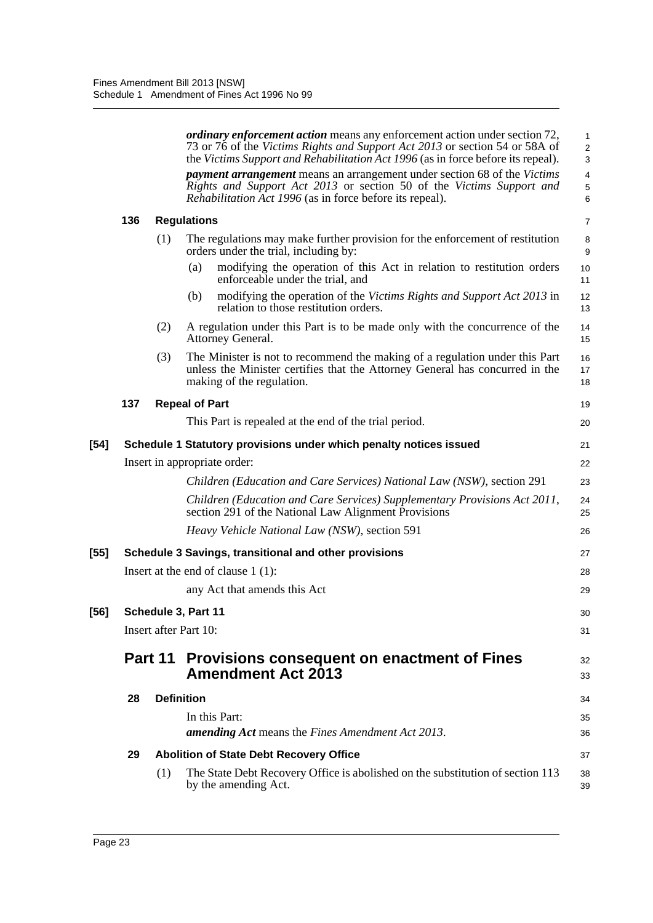|        |         |                   | ordinary enforcement action means any enforcement action under section 72,<br>73 or 76 of the Victims Rights and Support Act 2013 or section 54 or 58A of<br>the Victims Support and Rehabilitation Act 1996 (as in force before its repeal).<br><i>payment arrangement</i> means an arrangement under section 68 of the Victims<br>Rights and Support Act 2013 or section 50 of the Victims Support and<br><i>Rehabilitation Act 1996</i> (as in force before its repeal). | 1<br>$\overline{2}$<br>3<br>4<br>$\mathbf 5$<br>6 |
|--------|---------|-------------------|-----------------------------------------------------------------------------------------------------------------------------------------------------------------------------------------------------------------------------------------------------------------------------------------------------------------------------------------------------------------------------------------------------------------------------------------------------------------------------|---------------------------------------------------|
|        | 136     |                   | <b>Regulations</b>                                                                                                                                                                                                                                                                                                                                                                                                                                                          | 7                                                 |
|        |         | (1)               | The regulations may make further provision for the enforcement of restitution<br>orders under the trial, including by:                                                                                                                                                                                                                                                                                                                                                      | 8<br>9                                            |
|        |         |                   | modifying the operation of this Act in relation to restitution orders<br>(a)<br>enforceable under the trial, and                                                                                                                                                                                                                                                                                                                                                            | 10<br>11                                          |
|        |         |                   | (b)<br>modifying the operation of the Victims Rights and Support Act 2013 in<br>relation to those restitution orders.                                                                                                                                                                                                                                                                                                                                                       | 12<br>13                                          |
|        |         | (2)               | A regulation under this Part is to be made only with the concurrence of the<br>Attorney General.                                                                                                                                                                                                                                                                                                                                                                            | 14<br>15                                          |
|        |         | (3)               | The Minister is not to recommend the making of a regulation under this Part<br>unless the Minister certifies that the Attorney General has concurred in the<br>making of the regulation.                                                                                                                                                                                                                                                                                    | 16<br>17<br>18                                    |
|        | 137     |                   | <b>Repeal of Part</b>                                                                                                                                                                                                                                                                                                                                                                                                                                                       | 19                                                |
|        |         |                   | This Part is repealed at the end of the trial period.                                                                                                                                                                                                                                                                                                                                                                                                                       | 20                                                |
| $[54]$ |         |                   | Schedule 1 Statutory provisions under which penalty notices issued                                                                                                                                                                                                                                                                                                                                                                                                          | 21                                                |
|        |         |                   | Insert in appropriate order:                                                                                                                                                                                                                                                                                                                                                                                                                                                | 22                                                |
|        |         |                   | Children (Education and Care Services) National Law (NSW), section 291                                                                                                                                                                                                                                                                                                                                                                                                      | 23                                                |
|        |         |                   | Children (Education and Care Services) Supplementary Provisions Act 2011,<br>section 291 of the National Law Alignment Provisions                                                                                                                                                                                                                                                                                                                                           | 24<br>25                                          |
|        |         |                   | <i>Heavy Vehicle National Law (NSW)</i> , section 591                                                                                                                                                                                                                                                                                                                                                                                                                       | 26                                                |
| $[55]$ |         |                   | Schedule 3 Savings, transitional and other provisions                                                                                                                                                                                                                                                                                                                                                                                                                       | 27                                                |
|        |         |                   | Insert at the end of clause $1(1)$ :                                                                                                                                                                                                                                                                                                                                                                                                                                        | 28                                                |
|        |         |                   | any Act that amends this Act                                                                                                                                                                                                                                                                                                                                                                                                                                                | 29                                                |
| $[56]$ |         |                   | Schedule 3, Part 11                                                                                                                                                                                                                                                                                                                                                                                                                                                         | 30                                                |
|        |         |                   | Insert after Part 10:                                                                                                                                                                                                                                                                                                                                                                                                                                                       | 31                                                |
|        | Part 11 |                   | <b>Provisions consequent on enactment of Fines</b><br><b>Amendment Act 2013</b>                                                                                                                                                                                                                                                                                                                                                                                             | 32<br>33                                          |
|        | 28      | <b>Definition</b> |                                                                                                                                                                                                                                                                                                                                                                                                                                                                             | 34                                                |
|        |         |                   | In this Part:<br>amending Act means the Fines Amendment Act 2013.                                                                                                                                                                                                                                                                                                                                                                                                           | 35<br>36                                          |
|        | 29      |                   | <b>Abolition of State Debt Recovery Office</b>                                                                                                                                                                                                                                                                                                                                                                                                                              | 37                                                |
|        |         | (1)               | The State Debt Recovery Office is abolished on the substitution of section 113<br>by the amending Act.                                                                                                                                                                                                                                                                                                                                                                      | 38<br>39                                          |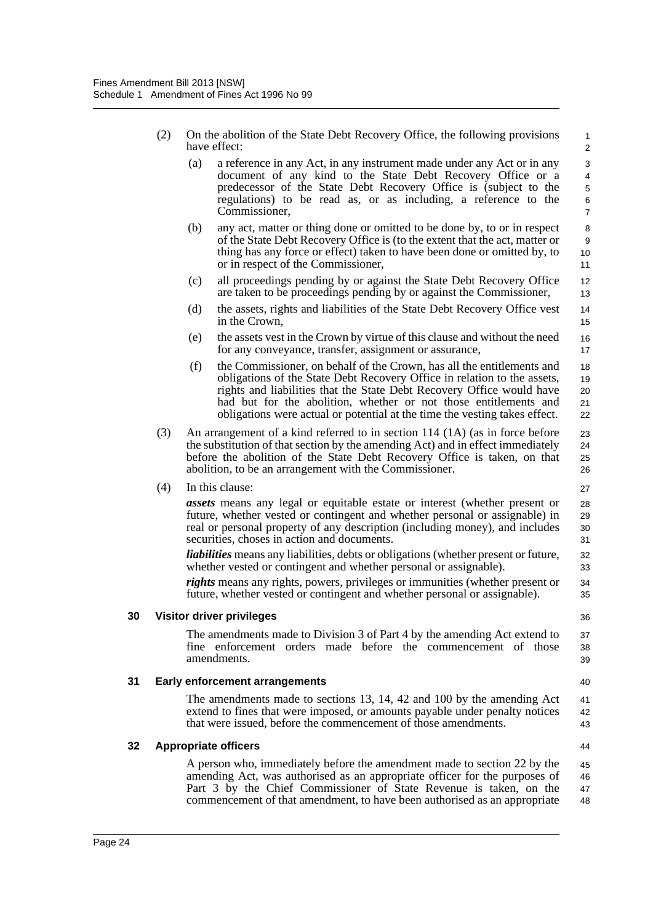| (2) | On the abolition of the State Debt Recovery Office, the following provisions |
|-----|------------------------------------------------------------------------------|
|     | have effect:                                                                 |

- (a) a reference in any Act, in any instrument made under any Act or in any document of any kind to the State Debt Recovery Office or a predecessor of the State Debt Recovery Office is (subject to the regulations) to be read as, or as including, a reference to the Commissioner,
- (b) any act, matter or thing done or omitted to be done by, to or in respect of the State Debt Recovery Office is (to the extent that the act, matter or thing has any force or effect) taken to have been done or omitted by, to or in respect of the Commissioner,
- (c) all proceedings pending by or against the State Debt Recovery Office are taken to be proceedings pending by or against the Commissioner,
- (d) the assets, rights and liabilities of the State Debt Recovery Office vest in the Crown,
- (e) the assets vest in the Crown by virtue of this clause and without the need for any conveyance, transfer, assignment or assurance,
- (f) the Commissioner, on behalf of the Crown, has all the entitlements and obligations of the State Debt Recovery Office in relation to the assets, rights and liabilities that the State Debt Recovery Office would have had but for the abolition, whether or not those entitlements and obligations were actual or potential at the time the vesting takes effect. 18 19 20 21 22
- (3) An arrangement of a kind referred to in section 114 (1A) (as in force before the substitution of that section by the amending Act) and in effect immediately before the abolition of the State Debt Recovery Office is taken, on that abolition, to be an arrangement with the Commissioner.

(4) In this clause:

*assets* means any legal or equitable estate or interest (whether present or future, whether vested or contingent and whether personal or assignable) in real or personal property of any description (including money), and includes securities, choses in action and documents.

*liabilities* means any liabilities, debts or obligations (whether present or future, whether vested or contingent and whether personal or assignable).

*rights* means any rights, powers, privileges or immunities (whether present or future, whether vested or contingent and whether personal or assignable).

#### **30 Visitor driver privileges**

The amendments made to Division 3 of Part 4 by the amending Act extend to fine enforcement orders made before the commencement of those amendments.

### **31 Early enforcement arrangements**

The amendments made to sections 13, 14, 42 and 100 by the amending Act extend to fines that were imposed, or amounts payable under penalty notices that were issued, before the commencement of those amendments. 41 42 43

#### **32 Appropriate officers**

A person who, immediately before the amendment made to section 22 by the amending Act, was authorised as an appropriate officer for the purposes of Part 3 by the Chief Commissioner of State Revenue is taken, on the commencement of that amendment, to have been authorised as an appropriate 45 46 47 48

40

44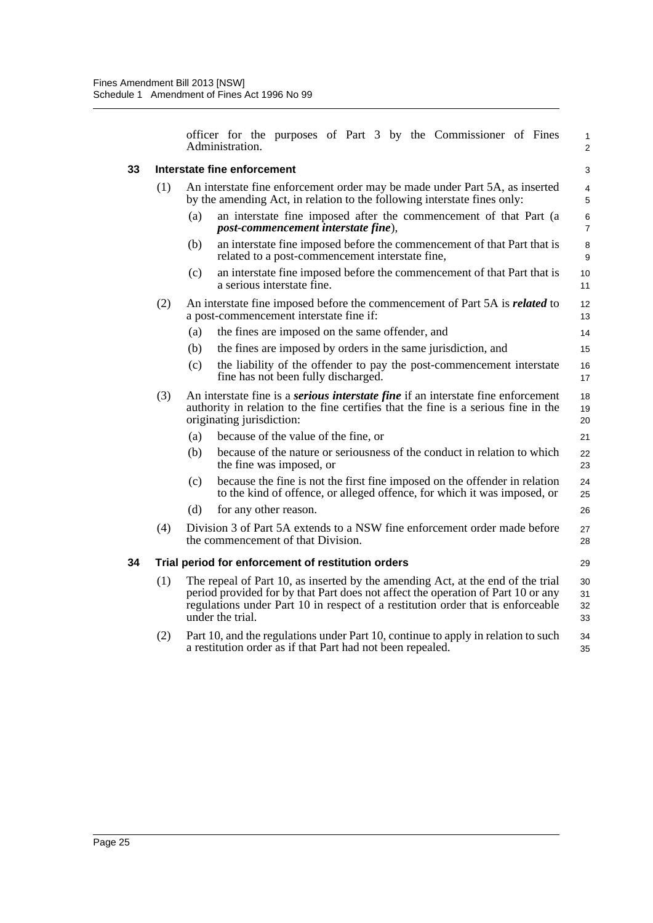officer for the purposes of Part 3 by the Commissioner of Fines Administration.

### **33 Interstate fine enforcement**

3 4 5

1 2

| 33 |     |                                                                                                                                                         | Interstate fine enforcement                                                                                                                                                                                                                                                | 3                    |
|----|-----|---------------------------------------------------------------------------------------------------------------------------------------------------------|----------------------------------------------------------------------------------------------------------------------------------------------------------------------------------------------------------------------------------------------------------------------------|----------------------|
|    | (1) | An interstate fine enforcement order may be made under Part 5A, as inserted<br>by the amending Act, in relation to the following interstate fines only: |                                                                                                                                                                                                                                                                            | 4<br>5               |
|    |     | (a)                                                                                                                                                     | an interstate fine imposed after the commencement of that Part (a<br>post-commencement interstate fine),                                                                                                                                                                   | 6<br>$\overline{7}$  |
|    |     | (b)                                                                                                                                                     | an interstate fine imposed before the commencement of that Part that is<br>related to a post-commencement interstate fine,                                                                                                                                                 | 8<br>9               |
|    |     | (c)                                                                                                                                                     | an interstate fine imposed before the commencement of that Part that is<br>a serious interstate fine.                                                                                                                                                                      | 10<br>11             |
|    | (2) |                                                                                                                                                         | An interstate fine imposed before the commencement of Part 5A is <i>related</i> to<br>a post-commencement interstate fine if:                                                                                                                                              | 12<br>13             |
|    |     | (a)                                                                                                                                                     | the fines are imposed on the same offender, and                                                                                                                                                                                                                            | 14                   |
|    |     | (b)                                                                                                                                                     | the fines are imposed by orders in the same jurisdiction, and                                                                                                                                                                                                              | 15                   |
|    |     | (c)                                                                                                                                                     | the liability of the offender to pay the post-commencement interstate<br>fine has not been fully discharged.                                                                                                                                                               | 16<br>17             |
|    | (3) |                                                                                                                                                         | An interstate fine is a <i>serious interstate fine</i> if an interstate fine enforcement<br>authority in relation to the fine certifies that the fine is a serious fine in the<br>originating jurisdiction:                                                                | 18<br>19<br>20       |
|    |     | (a)                                                                                                                                                     | because of the value of the fine, or                                                                                                                                                                                                                                       | 21                   |
|    |     | (b)                                                                                                                                                     | because of the nature or seriousness of the conduct in relation to which<br>the fine was imposed, or                                                                                                                                                                       | 22<br>23             |
|    |     | (c)                                                                                                                                                     | because the fine is not the first fine imposed on the offender in relation<br>to the kind of offence, or alleged offence, for which it was imposed, or                                                                                                                     | 24<br>25             |
|    |     | (d)                                                                                                                                                     | for any other reason.                                                                                                                                                                                                                                                      | 26                   |
|    | (4) |                                                                                                                                                         | Division 3 of Part 5A extends to a NSW fine enforcement order made before<br>the commencement of that Division.                                                                                                                                                            | 27<br>28             |
| 34 |     |                                                                                                                                                         | Trial period for enforcement of restitution orders                                                                                                                                                                                                                         | 29                   |
|    | (1) |                                                                                                                                                         | The repeal of Part 10, as inserted by the amending Act, at the end of the trial<br>period provided for by that Part does not affect the operation of Part 10 or any<br>regulations under Part 10 in respect of a restitution order that is enforceable<br>under the trial. | 30<br>31<br>32<br>33 |

(2) Part 10, and the regulations under Part 10, continue to apply in relation to such a restitution order as if that Part had not been repealed. 34 35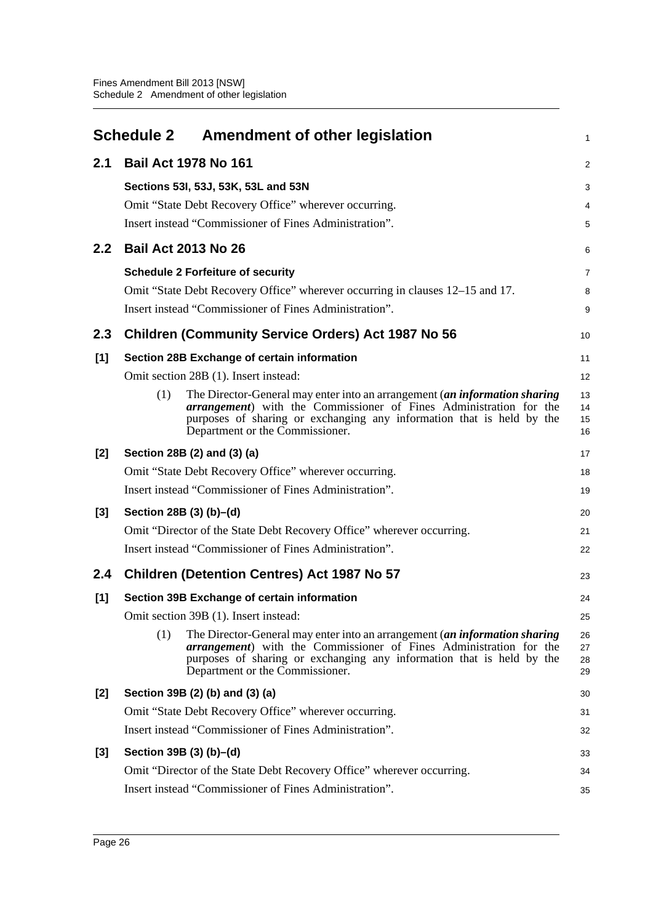<span id="page-31-0"></span>

|                  | Schedule 2 Amendment of other legislation                                                                                                                                                                                                                                   | 1                    |  |  |
|------------------|-----------------------------------------------------------------------------------------------------------------------------------------------------------------------------------------------------------------------------------------------------------------------------|----------------------|--|--|
| 2.1              | <b>Bail Act 1978 No 161</b>                                                                                                                                                                                                                                                 |                      |  |  |
|                  | Sections 53I, 53J, 53K, 53L and 53N                                                                                                                                                                                                                                         | 3                    |  |  |
|                  | Omit "State Debt Recovery Office" wherever occurring.                                                                                                                                                                                                                       | 4                    |  |  |
|                  | Insert instead "Commissioner of Fines Administration".                                                                                                                                                                                                                      | 5                    |  |  |
| 2.2 <sub>2</sub> | <b>Bail Act 2013 No 26</b>                                                                                                                                                                                                                                                  |                      |  |  |
|                  | <b>Schedule 2 Forfeiture of security</b>                                                                                                                                                                                                                                    | 7                    |  |  |
|                  | Omit "State Debt Recovery Office" wherever occurring in clauses 12–15 and 17.                                                                                                                                                                                               | 8                    |  |  |
|                  | Insert instead "Commissioner of Fines Administration".                                                                                                                                                                                                                      | 9                    |  |  |
| 2.3              | <b>Children (Community Service Orders) Act 1987 No 56</b>                                                                                                                                                                                                                   | 10                   |  |  |
| [1]              | Section 28B Exchange of certain information                                                                                                                                                                                                                                 | 11                   |  |  |
|                  | Omit section 28B (1). Insert instead:                                                                                                                                                                                                                                       | 12                   |  |  |
|                  | The Director-General may enter into an arrangement (an information sharing<br>(1)<br><i>arrangement</i> ) with the Commissioner of Fines Administration for the<br>purposes of sharing or exchanging any information that is held by the<br>Department or the Commissioner. | 13<br>14<br>15<br>16 |  |  |
| $[2]$            | Section 28B (2) and (3) (a)                                                                                                                                                                                                                                                 |                      |  |  |
|                  | Omit "State Debt Recovery Office" wherever occurring.                                                                                                                                                                                                                       | 18                   |  |  |
|                  | Insert instead "Commissioner of Fines Administration".                                                                                                                                                                                                                      | 19                   |  |  |
| $[3]$            | Section 28B (3) (b)–(d)                                                                                                                                                                                                                                                     |                      |  |  |
|                  | Omit "Director of the State Debt Recovery Office" wherever occurring.                                                                                                                                                                                                       | 21                   |  |  |
|                  | Insert instead "Commissioner of Fines Administration".                                                                                                                                                                                                                      | 22                   |  |  |
| 2.4              | <b>Children (Detention Centres) Act 1987 No 57</b>                                                                                                                                                                                                                          | 23                   |  |  |
| [1]              | Section 39B Exchange of certain information                                                                                                                                                                                                                                 | 24                   |  |  |
|                  | Omit section 39B (1). Insert instead:                                                                                                                                                                                                                                       | 25                   |  |  |
|                  | (1)<br>The Director-General may enter into an arrangement (an information sharing<br><i>arrangement</i> ) with the Commissioner of Fines Administration for the<br>purposes of sharing or exchanging any information that is held by the<br>Department or the Commissioner. | 26<br>27<br>28<br>29 |  |  |
| [2]              | Section 39B (2) (b) and (3) (a)                                                                                                                                                                                                                                             |                      |  |  |
|                  | Omit "State Debt Recovery Office" wherever occurring.                                                                                                                                                                                                                       | 31                   |  |  |
|                  | Insert instead "Commissioner of Fines Administration".                                                                                                                                                                                                                      | 32                   |  |  |
| [3]              | Section 39B (3) (b)–(d)                                                                                                                                                                                                                                                     | 33                   |  |  |
|                  | Omit "Director of the State Debt Recovery Office" wherever occurring.                                                                                                                                                                                                       | 34                   |  |  |
|                  | Insert instead "Commissioner of Fines Administration".                                                                                                                                                                                                                      | 35                   |  |  |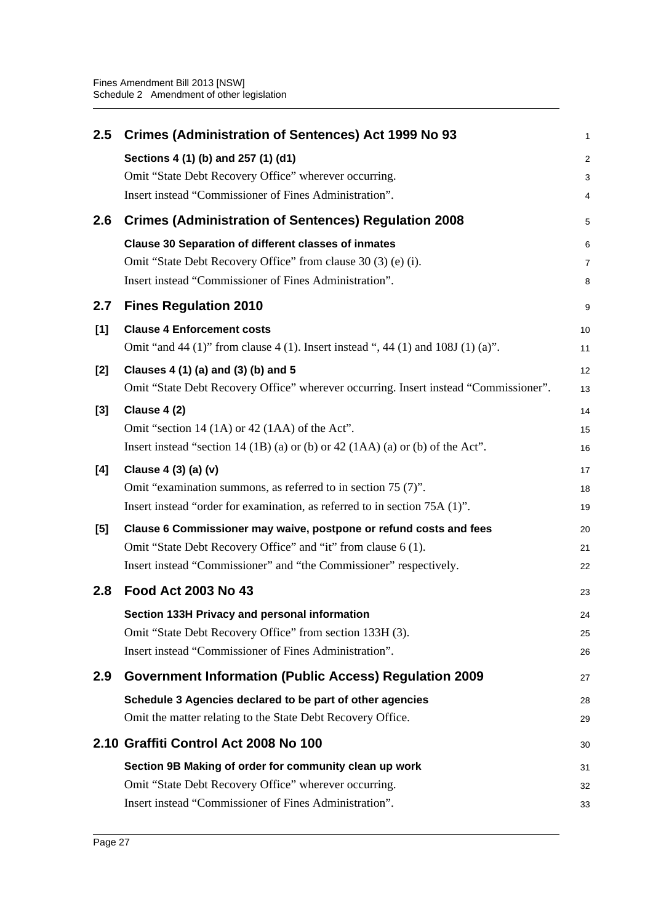| 2.5   | <b>Crimes (Administration of Sentences) Act 1999 No 93</b>                           | $\mathbf{1}$   |
|-------|--------------------------------------------------------------------------------------|----------------|
|       | Sections 4 (1) (b) and 257 (1) (d1)                                                  | $\overline{c}$ |
|       | Omit "State Debt Recovery Office" wherever occurring.                                | 3              |
|       | Insert instead "Commissioner of Fines Administration".                               | 4              |
| 2.6   | <b>Crimes (Administration of Sentences) Regulation 2008</b>                          | 5              |
|       | <b>Clause 30 Separation of different classes of inmates</b>                          | 6              |
|       | Omit "State Debt Recovery Office" from clause 30 (3) (e) (i).                        | $\overline{7}$ |
|       | Insert instead "Commissioner of Fines Administration".                               | 8              |
| 2.7   | <b>Fines Regulation 2010</b>                                                         | 9              |
| [1]   | <b>Clause 4 Enforcement costs</b>                                                    | 10             |
|       | Omit "and 44 (1)" from clause 4 (1). Insert instead ", 44 (1) and 108J (1) (a)".     | 11             |
| $[2]$ | Clauses 4 (1) (a) and (3) (b) and 5                                                  | 12             |
|       | Omit "State Debt Recovery Office" wherever occurring. Insert instead "Commissioner". | 13             |
| $[3]$ | Clause 4 (2)                                                                         | 14             |
|       | Omit "section 14 (1A) or 42 (1AA) of the Act".                                       | 15             |
|       | Insert instead "section 14 (1B) (a) or (b) or 42 (1AA) (a) or (b) of the Act".       | 16             |
| [4]   | Clause 4 (3) (a) (v)                                                                 | 17             |
|       | Omit "examination summons, as referred to in section 75 (7)".                        | 18             |
|       | Insert instead "order for examination, as referred to in section 75A (1)".           | 19             |
| [5]   | Clause 6 Commissioner may waive, postpone or refund costs and fees                   | 20             |
|       | Omit "State Debt Recovery Office" and "it" from clause 6 (1).                        | 21             |
|       | Insert instead "Commissioner" and "the Commissioner" respectively.                   | 22             |
| 2.8   | <b>Food Act 2003 No 43</b>                                                           | 23             |
|       | Section 133H Privacy and personal information                                        | 24             |
|       | Omit "State Debt Recovery Office" from section 133H (3).                             | 25             |
|       | Insert instead "Commissioner of Fines Administration".                               | 26             |
| 2.9   | <b>Government Information (Public Access) Regulation 2009</b>                        | 27             |
|       | Schedule 3 Agencies declared to be part of other agencies                            | 28             |
|       | Omit the matter relating to the State Debt Recovery Office.                          | 29             |
|       | 2.10 Graffiti Control Act 2008 No 100                                                | 30             |
|       | Section 9B Making of order for community clean up work                               | 31             |
|       | Omit "State Debt Recovery Office" wherever occurring.                                | 32             |
|       | Insert instead "Commissioner of Fines Administration".                               | 33             |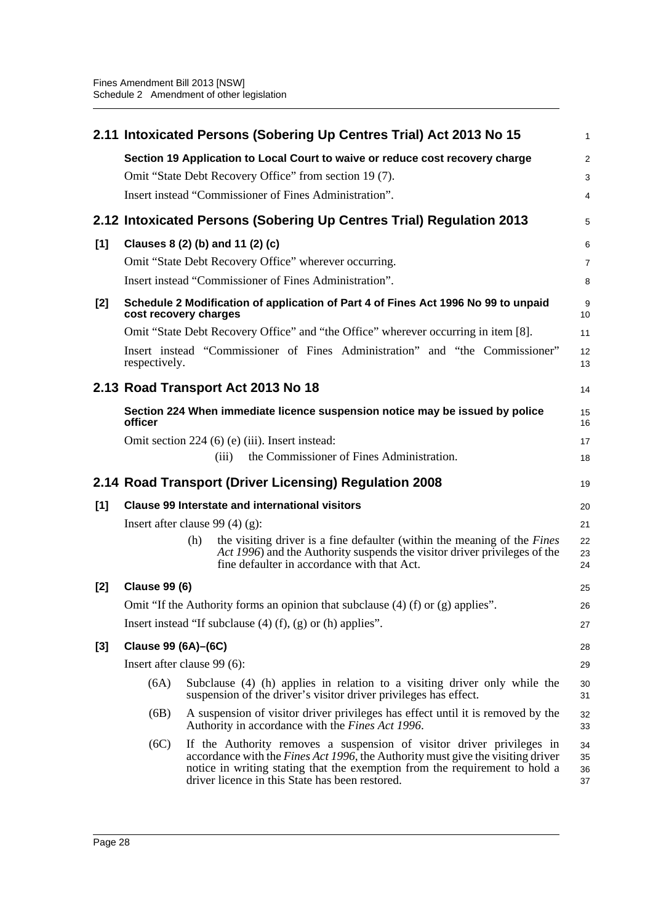|       |                      | 2.11 Intoxicated Persons (Sobering Up Centres Trial) Act 2013 No 15                                                                                                                                                                                                                                | $\mathbf{1}$         |
|-------|----------------------|----------------------------------------------------------------------------------------------------------------------------------------------------------------------------------------------------------------------------------------------------------------------------------------------------|----------------------|
|       |                      | Section 19 Application to Local Court to waive or reduce cost recovery charge                                                                                                                                                                                                                      | $\overline{2}$       |
|       |                      | Omit "State Debt Recovery Office" from section 19(7).                                                                                                                                                                                                                                              | 3                    |
|       |                      | Insert instead "Commissioner of Fines Administration".                                                                                                                                                                                                                                             | 4                    |
|       |                      | 2.12 Intoxicated Persons (Sobering Up Centres Trial) Regulation 2013                                                                                                                                                                                                                               | 5                    |
| [1]   |                      | Clauses 8 (2) (b) and 11 (2) (c)                                                                                                                                                                                                                                                                   | 6                    |
|       |                      | Omit "State Debt Recovery Office" wherever occurring.                                                                                                                                                                                                                                              | $\overline{7}$       |
|       |                      | Insert instead "Commissioner of Fines Administration".                                                                                                                                                                                                                                             | 8                    |
| $[2]$ |                      | Schedule 2 Modification of application of Part 4 of Fines Act 1996 No 99 to unpaid<br>cost recovery charges                                                                                                                                                                                        | 9<br>10              |
|       |                      | Omit "State Debt Recovery Office" and "the Office" wherever occurring in item [8].                                                                                                                                                                                                                 | 11                   |
|       | respectively.        | Insert instead "Commissioner of Fines Administration" and "the Commissioner"                                                                                                                                                                                                                       | 12<br>13             |
|       |                      | 2.13 Road Transport Act 2013 No 18                                                                                                                                                                                                                                                                 | 14                   |
|       | officer              | Section 224 When immediate licence suspension notice may be issued by police                                                                                                                                                                                                                       | 15<br>16             |
|       |                      | Omit section 224 (6) (e) (iii). Insert instead:                                                                                                                                                                                                                                                    | 17                   |
|       |                      | the Commissioner of Fines Administration.<br>(iii)                                                                                                                                                                                                                                                 | 18                   |
|       |                      | 2.14 Road Transport (Driver Licensing) Regulation 2008                                                                                                                                                                                                                                             | 19                   |
| [1]   |                      | <b>Clause 99 Interstate and international visitors</b>                                                                                                                                                                                                                                             | 20                   |
|       |                      | Insert after clause 99 $(4)(g)$ :                                                                                                                                                                                                                                                                  | 21                   |
|       |                      | the visiting driver is a fine defaulter (within the meaning of the Fines<br>(h)<br>Act 1996) and the Authority suspends the visitor driver privileges of the<br>fine defaulter in accordance with that Act.                                                                                        | 22<br>23<br>24       |
| [2]   | <b>Clause 99 (6)</b> |                                                                                                                                                                                                                                                                                                    | 25                   |
|       |                      | Omit "If the Authority forms an opinion that subclause $(4)$ (f) or $(g)$ applies".                                                                                                                                                                                                                | 26                   |
|       |                      | Insert instead "If subclause $(4)$ (f), $(g)$ or (h) applies".                                                                                                                                                                                                                                     | 27                   |
| $[3]$ | Clause 99 (6A)-(6C)  |                                                                                                                                                                                                                                                                                                    | 28                   |
|       |                      | Insert after clause 99 (6):                                                                                                                                                                                                                                                                        | 29                   |
|       | (6A)                 | Subclause (4) (h) applies in relation to a visiting driver only while the<br>suspension of the driver's visitor driver privileges has effect.                                                                                                                                                      | 30<br>31             |
|       | (6B)                 | A suspension of visitor driver privileges has effect until it is removed by the<br>Authority in accordance with the <i>Fines Act 1996</i> .                                                                                                                                                        | 32<br>33             |
|       | (6C)                 | If the Authority removes a suspension of visitor driver privileges in<br>accordance with the <i>Fines Act 1996</i> , the Authority must give the visiting driver<br>notice in writing stating that the exemption from the requirement to hold a<br>driver licence in this State has been restored. | 34<br>35<br>36<br>37 |